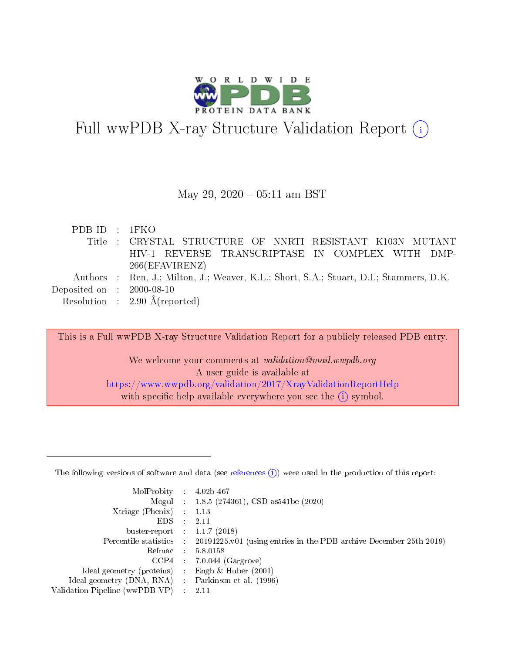

# Full wwPDB X-ray Structure Validation Report  $(i)$

#### May 29,  $2020 - 05:11$  am BST

| PDBID : IFKO                         |                                                                                        |
|--------------------------------------|----------------------------------------------------------------------------------------|
|                                      | Title : CRYSTAL STRUCTURE OF NNRTI RESISTANT K103N MUTANT                              |
|                                      | HIV-1 REVERSE TRANSCRIPTASE IN COMPLEX WITH DMP-                                       |
|                                      | 266(EFAVIRENZ)                                                                         |
|                                      | Authors : Ren, J.; Milton, J.; Weaver, K.L.; Short, S.A.; Stuart, D.I.; Stammers, D.K. |
| Deposited on $\therefore$ 2000-08-10 |                                                                                        |
|                                      | Resolution : $2.90 \text{ Å}$ (reported)                                               |

This is a Full wwPDB X-ray Structure Validation Report for a publicly released PDB entry. We welcome your comments at validation@mail.wwpdb.org A user guide is available at <https://www.wwpdb.org/validation/2017/XrayValidationReportHelp> with specific help available everywhere you see the  $(i)$  symbol.

The following versions of software and data (see [references](https://www.wwpdb.org/validation/2017/XrayValidationReportHelp#references)  $(1)$ ) were used in the production of this report:

| MolProbity :                   |               | $4.02b - 467$                                                               |
|--------------------------------|---------------|-----------------------------------------------------------------------------|
|                                |               | Mogul : $1.8.5$ (274361), CSD as 541be (2020)                               |
| Xtriage (Phenix)               | $\mathcal{L}$ | 1.13                                                                        |
| EDS.                           |               | 2.11                                                                        |
| buster-report : $1.1.7$ (2018) |               |                                                                             |
| Percentile statistics :        |               | $20191225 \text{v}01$ (using entries in the PDB archive December 25th 2019) |
| Refmac :                       |               | 5.8.0158                                                                    |
| CCP4                           |               | $7.0.044$ (Gargrove)                                                        |
| Ideal geometry (proteins) :    |               | Engh $\&$ Huber (2001)                                                      |
| Ideal geometry (DNA, RNA) :    |               | Parkinson et al. (1996)                                                     |
| Validation Pipeline (wwPDB-VP) | $\mathcal{L}$ | 2.11                                                                        |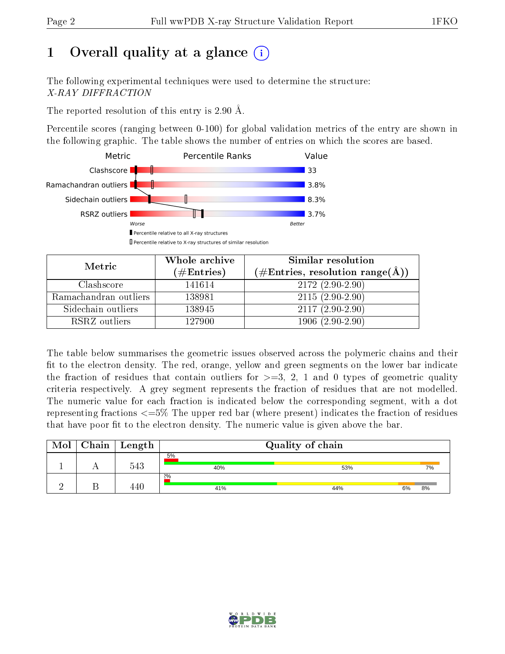# 1 [O](https://www.wwpdb.org/validation/2017/XrayValidationReportHelp#overall_quality)verall quality at a glance  $(i)$

The following experimental techniques were used to determine the structure: X-RAY DIFFRACTION

The reported resolution of this entry is 2.90 Å.

Percentile scores (ranging between 0-100) for global validation metrics of the entry are shown in the following graphic. The table shows the number of entries on which the scores are based.



| Metric                | Whole archive<br>$(\#\text{Entries})$ | Similar resolution<br>$(\#\text{Entries}, \text{resolution range}(\AA))$ |
|-----------------------|---------------------------------------|--------------------------------------------------------------------------|
| Clashscore            | 141614                                | $2172(2.90-2.90)$                                                        |
| Ramachandran outliers | 138981                                | $2115(2.90-2.90)$                                                        |
| Sidechain outliers    | 138945                                | $2117(2.90-2.90)$                                                        |
| RSRZ outliers         | 127900                                | $1906(2.90-2.90)$                                                        |

The table below summarises the geometric issues observed across the polymeric chains and their fit to the electron density. The red, orange, yellow and green segments on the lower bar indicate the fraction of residues that contain outliers for  $\geq=3$ , 2, 1 and 0 types of geometric quality criteria respectively. A grey segment represents the fraction of residues that are not modelled. The numeric value for each fraction is indicated below the corresponding segment, with a dot representing fractions  $\epsilon = 5\%$  The upper red bar (where present) indicates the fraction of residues that have poor fit to the electron density. The numeric value is given above the bar.

| Mol | Chain | Length | Quality of chain |     |          |  |  |  |
|-----|-------|--------|------------------|-----|----------|--|--|--|
|     |       | 543    | 5%<br>40%        | 53% | 7%       |  |  |  |
|     |       |        | 2%<br>41%        | 44% | 8%<br>6% |  |  |  |

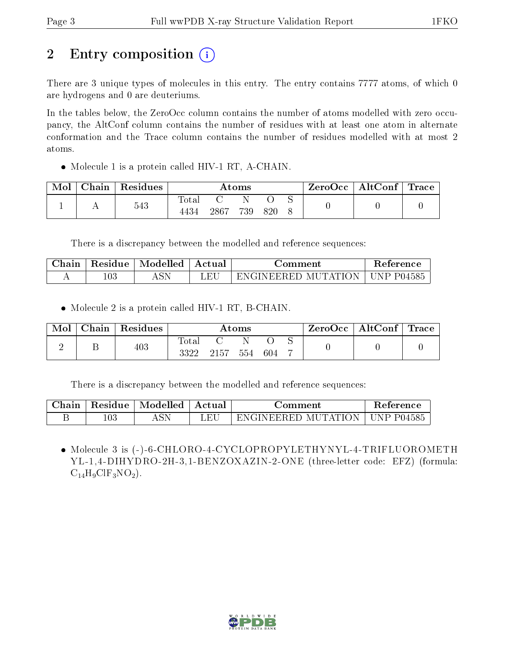# 2 Entry composition  $\left( \cdot \right)$

There are 3 unique types of molecules in this entry. The entry contains 7777 atoms, of which 0 are hydrogens and 0 are deuteriums.

In the tables below, the ZeroOcc column contains the number of atoms modelled with zero occupancy, the AltConf column contains the number of residues with at least one atom in alternate conformation and the Trace column contains the number of residues modelled with at most 2 atoms.

 $\bullet$  Molecule 1 is a protein called HIV-1 RT, A-CHAIN.

| Mol | Chain | Residues | Atoms        |      |     |     | $\text{ZeroOcc} \mid \text{AltConf} \mid \text{Trace}$ |  |  |
|-----|-------|----------|--------------|------|-----|-----|--------------------------------------------------------|--|--|
|     |       | 543      | <b>Total</b> |      |     |     |                                                        |  |  |
|     |       |          | 4434         | 2867 | 739 | 820 |                                                        |  |  |

There is a discrepancy between the modelled and reference sequences:

| $\sim$ 1<br>Jhain | Residue | Modelled | Actual      | 'omment                    | teference      |
|-------------------|---------|----------|-------------|----------------------------|----------------|
| . .               | $103\,$ | 1 N J L  | $E_{\rm F}$ | -HU<br>IN HI<br>ж<br>IVI I | -104585<br>ັ້⊳ |

• Molecule 2 is a protein called HIV-1 RT, B-CHAIN.

| Mol | $\pm$ Chain $^+$ | $\mid$ Residues | Atoms         |      |     | $\text{ZeroOcc}$   AltConf   Trace |  |  |  |
|-----|------------------|-----------------|---------------|------|-----|------------------------------------|--|--|--|
|     |                  | 403             | Total<br>3322 | 2157 | 554 | 604                                |  |  |  |

There is a discrepancy between the modelled and reference sequences:

| Chain |         | Residue   Modelled | Actual | ∃omment                          | Reference |
|-------|---------|--------------------|--------|----------------------------------|-----------|
|       | $103\,$ |                    |        | ENGINEERED MUTATION   UNP P04585 |           |

 Molecule 3 is (-)-6-CHLORO-4-CYCLOPROPYLETHYNYL-4-TRIFLUOROMETH YL-1,4-DIHYDRO-2H-3,1-BENZOXAZIN-2-ONE (three-letter code: EFZ) (formula:  $C_{14}H_9ClF_3NO_2$ .

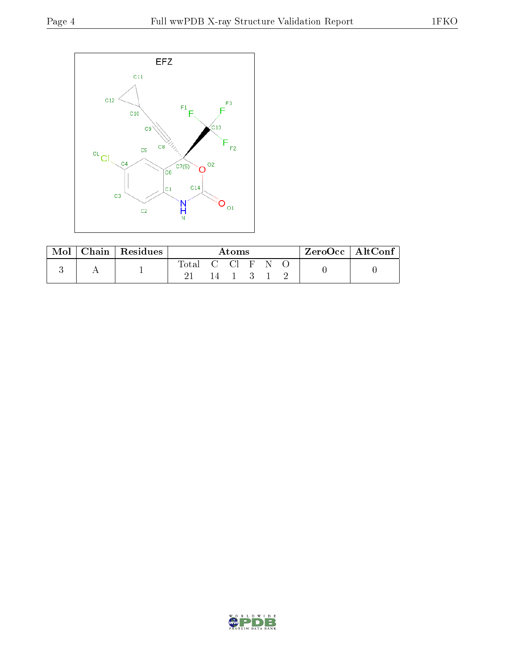

| Mol |   | Chain   Residues | Atoms |            |  |  | ZeroOcc   AltConf |  |  |
|-----|---|------------------|-------|------------|--|--|-------------------|--|--|
|     | A |                  | Total | - 62 - 631 |  |  |                   |  |  |

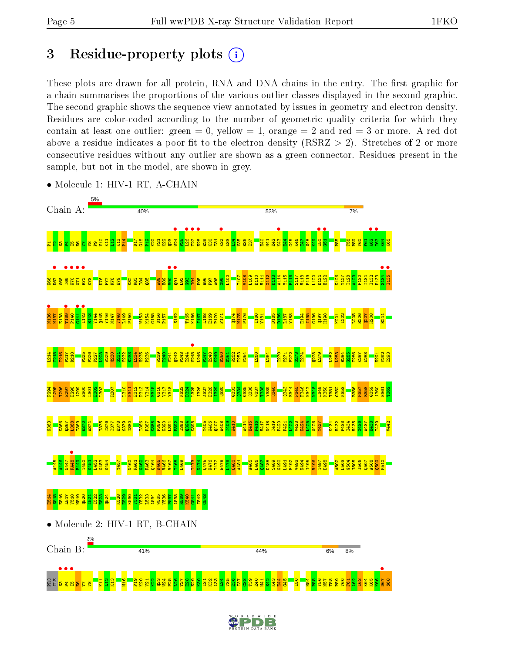a <mark>a a sa</mark> E

 $\mathbf{g}$  $E<sub>1</sub>$  $\frac{21}{2}$ K13  $\frac{9}{21}$  $\frac{9}{2}$ K20  $\frac{1}{2}$ <u>ଧ</u>ୁ  $\overline{23}$ W24 P25  $\frac{8}{2}$ T27  $\frac{8}{2}$  $\frac{29}{2}$  $\frac{8}{2}$  $\frac{131}{2}$ K32 A33  $\frac{34}{2}$  $\frac{125}{2}$  $\frac{8}{2}$ I37  $\frac{8}{2}$  $\frac{3}{2}$ E40  $\frac{41}{2}$  $\frac{20}{2}$  $\frac{1}{2}$  $\frac{1}{4}$  $\frac{45}{10}$ I50 N54  $\frac{25}{25}$ Y56 N57 T58 P59  $\frac{1}{2}$  $F61$  $\frac{2}{3}$ I63 K64 K65 K66

# 3 Residue-property plots  $(i)$

These plots are drawn for all protein, RNA and DNA chains in the entry. The first graphic for a chain summarises the proportions of the various outlier classes displayed in the second graphic. The second graphic shows the sequence view annotated by issues in geometry and electron density. Residues are color-coded according to the number of geometric quality criteria for which they contain at least one outlier: green  $= 0$ , yellow  $= 1$ , orange  $= 2$  and red  $= 3$  or more. A red dot above a residue indicates a poor fit to the electron density (RSRZ  $> 2$ ). Stretches of 2 or more consecutive residues without any outlier are shown as a green connector. Residues present in the sample, but not in the model, are shown in grey.



• Molecule 1: HIV-1 RT, A-CHAIN



S68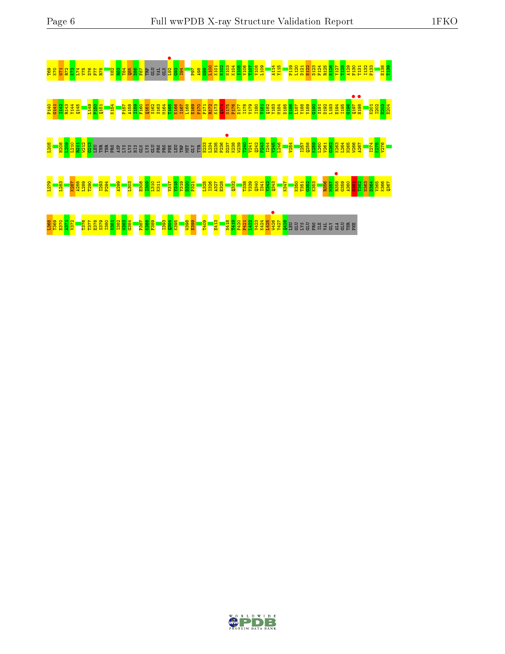

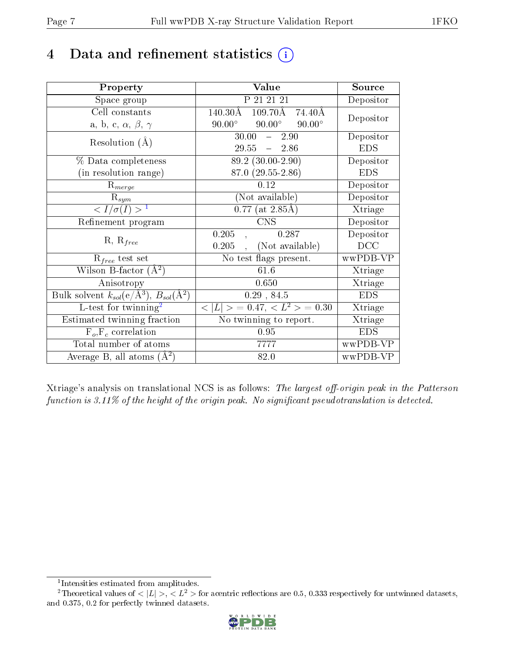# 4 Data and refinement statistics  $(i)$

| Property                                                   | Value                                                | Source     |
|------------------------------------------------------------|------------------------------------------------------|------------|
| Space group                                                | P 21 21 21                                           | Depositor  |
| Cell constants                                             | $140.30\text{\AA}$<br>$109.70\text{\AA}$<br>- 74.40Å | Depositor  |
| a, b, c, $\alpha$ , $\beta$ , $\gamma$                     | $90.00^\circ$<br>$90.00^\circ$<br>$90.00^\circ$      |            |
| Resolution $(A)$                                           | 30.00<br>2.90<br>$\frac{1}{2}$                       | Depositor  |
|                                                            | $29.55 - 2.86$                                       | <b>EDS</b> |
| % Data completeness                                        | $\overline{89.2}$ (30.00-2.90)                       | Depositor  |
| (in resolution range)                                      | 87.0 (29.55-2.86)                                    | <b>EDS</b> |
| $R_{merge}$                                                | 0.12                                                 | Depositor  |
| $\mathrm{R}_{sym}$                                         | (Not available)                                      | Depositor  |
| $\langle I/\sigma(I) \rangle^{-1}$                         | $0.77$ (at 2.85Å)                                    | Xtriage    |
| Refinement program                                         | <b>CNS</b>                                           | Depositor  |
|                                                            | 0.287<br>0.205                                       | Depositor  |
| $R, R_{free}$                                              | (Not available)<br>0.205                             | DCC        |
| $R_{free}$ test set                                        | No test flags present.                               | wwPDB-VP   |
| Wilson B-factor $(A^2)$                                    | 61.6                                                 | Xtriage    |
| Anisotropy                                                 | 0.650                                                | Xtriage    |
| Bulk solvent $k_{sol}$ (e/Å <sup>3</sup> ), $B_{sol}(A^2)$ | 0.29, 84.5                                           | <b>EDS</b> |
| L-test for $\mathrm{twinning}^2$                           | $< L >$ = 0.47, $< L2 >$ = 0.30                      | Xtriage    |
| Estimated twinning fraction                                | No twinning to report.                               | Xtriage    |
| $\overline{F_o}, \overline{F_c}$ correlation               | 0.95                                                 | <b>EDS</b> |
| Total number of atoms                                      | 7777                                                 | wwPDB-VP   |
| Average B, all atoms $(A^2)$                               | 82.0                                                 | wwPDB-VP   |

Xtriage's analysis on translational NCS is as follows: The largest off-origin peak in the Patterson function is  $3.11\%$  of the height of the origin peak. No significant pseudotranslation is detected.

<sup>&</sup>lt;sup>2</sup>Theoretical values of  $\langle |L| \rangle$ ,  $\langle L^2 \rangle$  for acentric reflections are 0.5, 0.333 respectively for untwinned datasets, and 0.375, 0.2 for perfectly twinned datasets.



<span id="page-6-1"></span><span id="page-6-0"></span><sup>1</sup> Intensities estimated from amplitudes.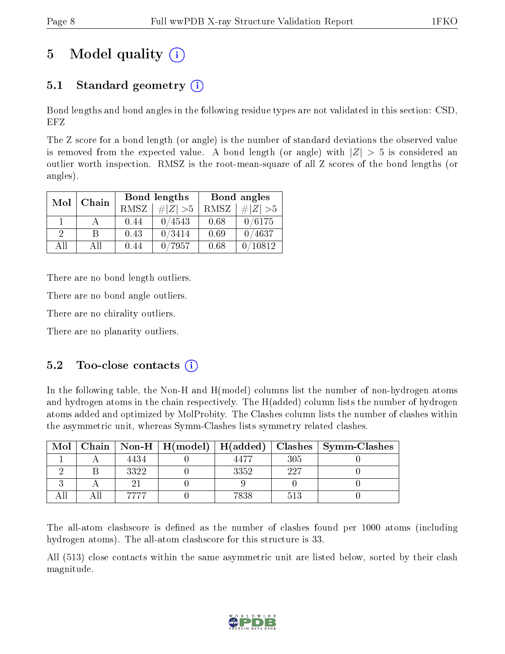# 5 Model quality  $(i)$

## 5.1 Standard geometry  $\overline{()}$

Bond lengths and bond angles in the following residue types are not validated in this section: CSD, EFZ

The Z score for a bond length (or angle) is the number of standard deviations the observed value is removed from the expected value. A bond length (or angle) with  $|Z| > 5$  is considered an outlier worth inspection. RMSZ is the root-mean-square of all Z scores of the bond lengths (or angles).

| Mol      | Chain |      | Bond lengths | Bond angles |             |  |
|----------|-------|------|--------------|-------------|-------------|--|
|          |       | RMSZ | $\# Z  > 5$  | RMSZ        | $\# Z  > 5$ |  |
|          |       | 0.44 | 0/4543       | 0.68        | 0/6175      |  |
| $\Omega$ | R     | 0.43 | 0/3414       | 0.69        | 0/4637      |  |
| ΑĦ       | A 11  | 0.44 | 7957         | 0.68        | 10812       |  |

There are no bond length outliers.

There are no bond angle outliers.

There are no chirality outliers.

There are no planarity outliers.

### $5.2$  Too-close contacts  $(i)$

In the following table, the Non-H and H(model) columns list the number of non-hydrogen atoms and hydrogen atoms in the chain respectively. The H(added) column lists the number of hydrogen atoms added and optimized by MolProbity. The Clashes column lists the number of clashes within the asymmetric unit, whereas Symm-Clashes lists symmetry related clashes.

| Mol |      | Chain   Non-H   $H (model)$   $H (added)$ |      |     | Clashes   Symm-Clashes |
|-----|------|-------------------------------------------|------|-----|------------------------|
|     | 4434 |                                           | 4477 | 305 |                        |
|     | 3322 |                                           | 3352 | 997 |                        |
|     |      |                                           |      |     |                        |
|     |      |                                           | 7838 | 513 |                        |

The all-atom clashscore is defined as the number of clashes found per 1000 atoms (including hydrogen atoms). The all-atom clashscore for this structure is 33.

All (513) close contacts within the same asymmetric unit are listed below, sorted by their clash magnitude.

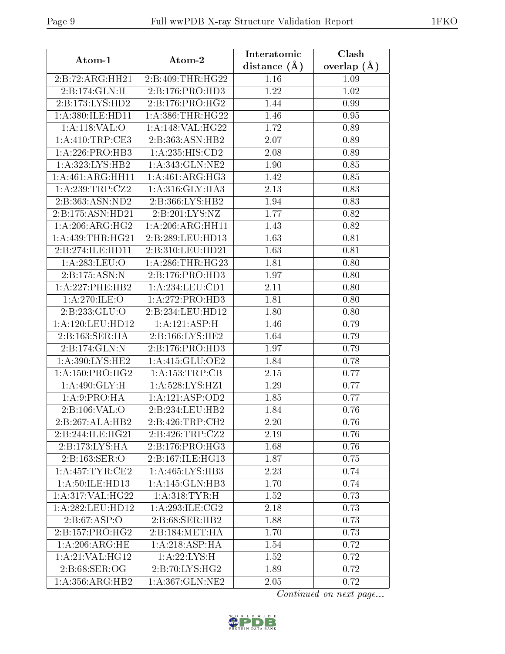| Atom-1                                | Atom-2                      | Interatomic    | Clash         |
|---------------------------------------|-----------------------------|----------------|---------------|
|                                       |                             | distance $(A)$ | overlap $(A)$ |
| 2:B:72:ARG:HH21                       | 2:B:409:THR:HG22            | 1.16           | 1.09          |
| 2:B:174:GLN:H                         | 2:B:176:PRO:HD3             | 1.22           | 1.02          |
| 2:B:173:LYS:HD2                       | 2:B:176:PRO:HG2             | 1.44           | 0.99          |
| 1:A:380:ILE:HD11                      | 1: A: 386: THR: HG22        | 1.46           | 0.95          |
| 1: A:118: VAL:O                       | 1: A:148: VAL:HG22          | 1.72           | 0.89          |
| 1: A:410:TRP:CE3                      | 2:B:363:ASN:HB2             | 2.07           | 0.89          |
| 1: A:226: PRO:HB3                     | 1:A:235:HIS:CD2             | 2.08           | 0.89          |
| 1:A:323:LYS:HB2                       | 1:A:343:GLN:NE2             | 1.90           | 0.85          |
| 1:A:461:ARG:HH11                      | 1:A:461:ARG:HG3             | 1.42           | 0.85          |
| 1:A:239:TRP:CZ2                       | 1:A:316:GLY:HA3             | 2.13           | 0.83          |
| 2:B:363:ASN:ND2                       | 2:B:366:LYS:HB2             | 1.94           | 0.83          |
| 2:B:175:ASN:HD21                      | 2:B:201:LYS:NZ              | 1.77           | 0.82          |
| $1:A:206:A\overline{\mathrm{RG:HG2}}$ | 1: A:206:ARG:HH11           | 1.43           | 0.82          |
| 1: A: 439: THR: HG21                  | 2:B:289:LEU:HD13            | 1.63           | 0.81          |
| 2:B:274:ILE:HD11                      | 2:B:310:LEU:HD21            | 1.63           | 0.81          |
| 1: A:283:LEU:O                        | 1: A:286:THR:HG23           | 1.81           | 0.80          |
| 2:B:175:ASN:N                         | 2:B:176:PRO:HD3             | 1.97           | 0.80          |
| 1: A: 227: PHE: HB2                   | 1: A: 234: LEU: CD1         | 2.11           | 0.80          |
| 1:A:270:ILE:O                         | 1:A:272:PRO:H <sub>D3</sub> | 1.81           | 0.80          |
| 2:B:233:GLU:O                         | 2:B:234:LEU:HD12            | 1.80           | 0.80          |
| 1: A:120: LEU: HD12                   | 1:A:121:ASP:H               | 1.46           | 0.79          |
| 2:B:163:SER:HA                        | 2:B:166:LYS:HE2             | 1.64           | 0.79          |
| 2:B:174:GLN:N                         | 2:B:176:PRO:HD3             | 1.97           | 0.79          |
| 1:A:390:LYS:HE2                       | 1: A:415: GLU:OE2           | 1.84           | 0.78          |
| 1: A: 150: PRO:HG2                    | 1:A:153:TRP:CB              | 2.15           | 0.77          |
| 1: A:490: GLY: H                      | 1:A:528:LYS:HZ1             | 1.29           | 0.77          |
| 1: A:9: PRO:HA                        | 1:A:121:ASP:OD2             | 1.85           | 0.77          |
| 2:B:106:VAL:O                         | 2:B:234:LEU:HB2             | 1.84           | 0.76          |
| 2:B:267:ALA:HB2                       | 2:B:426:TRP:CH2             | 2.20           | 0.76          |
| 2:B:244:ILE:HG21                      | 2:B:426:TRP:CZ2             | 2.19           | 0.76          |
| 2:B:173:LYS:HA                        | 2:B:176:PRO:HG3             | 1.68           | 0.76          |
| 2:B:163:SER:O                         | 2:B:167:ILE:HG13            | 1.87           | 0.75          |
| 1: A:457: TYR: CE2                    | 1:A:465:LYS:HB3             | 2.23           | 0.74          |
| 1: A:50: ILE: HD13                    | 1:A:145:GLN:HB3             | 1.70           | 0.74          |
| 1: A:317: VAL:HG22                    | 1: A: 318: TYR: H           | 1.52           | 0.73          |
| 1:A:282:LEU:HD12                      | 1: A:293: ILE: CG2          | 2.18           | 0.73          |
| 2: B:67: ASP:O                        | 2:B:68:SER:HB2              | 1.88           | 0.73          |
| 2:B:157:PRO:HG2                       | 2:B:184:MET:HA              | 1.70           | 0.73          |
| 1: A:206:ARG:HE                       | 1:A:218:ASP:HA              | 1.54           | 0.72          |
| 1:A:21:VAL:HG12                       | 1: A:22:LYS:H               | 1.52           | 0.72          |
| 2:B:68:SER:OG                         | 2:B:70:LYS:HG2              | 1.89           | 0.72          |
| 1: A: 356: ARG: HB2                   | 1:A:367:GLN:NE2             | 2.05           | 0.72          |

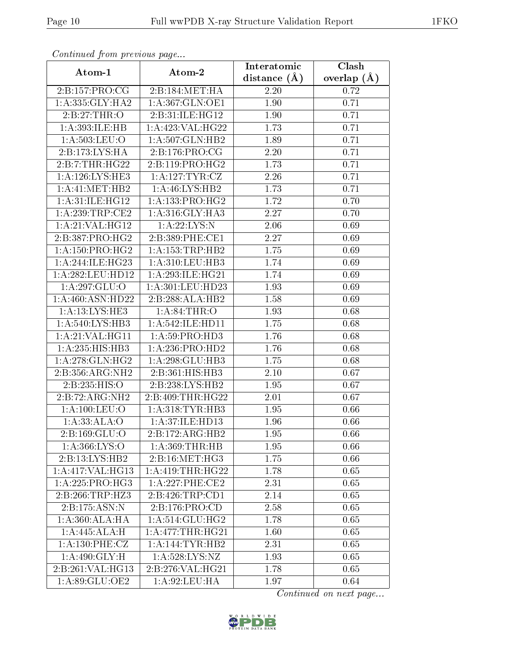| Continuea from previous page  |                              | Interatomic       | Clash         |
|-------------------------------|------------------------------|-------------------|---------------|
| Atom-1                        | Atom-2                       | distance $(A)$    | overlap $(A)$ |
| 2:B:157:PRO:CG                | 2:B:184:MET:HA               | 2.20              | 0.72          |
| 1:A:335:GLY:HA2               | 1:A:367:GLN:OE1              | $\overline{1.90}$ | 0.71          |
| 2:B:27:THR:O                  | 2:B:31:ILE:HG12              | 1.90              | 0.71          |
| 1:A:393:ILE:HB                | 1:A:423:VAL:HG22             | 1.73              | 0.71          |
| 1: A:503:LEU:O                | 1:A:507:GLN:HB2              | 1.89              | 0.71          |
| 2:B:173:LYS:HA                | 2:B:176:PRO:CG               | 2.20              | 0.71          |
| 2:B:7:THR:HG22                | 2: B: 119: PRO:HG2           | 1.73              | 0.71          |
| 1: A:126: LYS: HE3            | 1: A: 127: TYR: CZ           | 2.26              | 0.71          |
| 1: A: 41: MET: HB2            | 1:A:46:LYS:HB2               | 1.73              | 0.71          |
| 1: A:31: ILE: HG12            | 1: A: 133: PRO:HG2           | 1.72              | 0.70          |
| 1:A:239:TRP:CE2               | $1:A:316:GLY:H\overline{A3}$ | 2.27              | 0.70          |
| 1:A:21:VAL:HG12               | 1: A:22:LYS:N                | 2.06              | 0.69          |
| 2:B:387:PRO:HG2               | 2:B:389:PHE:CE1              | 2.27              | 0.69          |
| 1: A: 150: PRO:HG2            | 1: A: 153: TRP: HB2          | 1.75              | 0.69          |
| 1:A:244:ILE:HG23              | 1: A:310: LEU: HB3           | 1.74              | 0.69          |
| 1: A:282:LEU:HD12             | 1: A:293: ILE: HG21          | 1.74              | 0.69          |
| 1:A:297:GLU:O                 | 1:A:301:LEU:HD23             | 1.93              | 0.69          |
| 1:A:460:ASN:HD22              | 2:B:288:ALA:HB2              | 1.58              | 0.69          |
| 1:A:13:LYS:HE3                | 1: A:84:THR:O                | 1.93              | 0.68          |
| 1:A:540:LYS:HB3               | 1: A:542: ILE: HD11          | 1.75              | 0.68          |
| 1: A:21: VAL: HG11            | 1: A:59: PRO:HD3             | 1.76              | 0.68          |
| 1:A:235:HIS:HB3               | 1:A:236:PRO:HD2              | 1.76              | 0.68          |
| 1: A:278: GLN: HG2            | 1:A:298:GLU:HB3              | 1.75              | 0.68          |
| 2:B:356:ARG:NH2               | 2:B:361:HIS:HB3              | 2.10              | 0.67          |
| 2:B:235:HIS:O                 | 2:B:238:LYS:HB2              | 1.95              | 0.67          |
| $2:B:72:ARG:\overline{NH2}$   | 2:B:409:THR:HG22             | 2.01              | 0.67          |
| 1: A: 100: LEU: O             | 1: A:318: TYR: HB3           | 1.95              | 0.66          |
| 1:A:33:ALA:O                  | 1: A:37: ILE: HD13           | 1.96              | 0.66          |
| $2: B: 169: \overline{GLU:O}$ | $2:B:172:ARG:\overline{H}B2$ | 1.95              | 0.66          |
| 1: A: 366: LYS:O              | 1: A:369:THR:HB              | 1.95              | 0.66          |
| 2:B:13:LYS:HB2                | 2: B: 16: MET: HG3           | 1.75              | 0.66          |
| 1:A:417:VAL:HG13              | 1: A:419:THR:HG22            | 1.78              | 0.65          |
| 1: A: 225: PRO:HG3            | 1:A:227:PHE:CE2              | 2.31              | 0.65          |
| 2:B:266:TRP:HZ3               | 2:B:426:TRP:CD1              | 2.14              | 0.65          |
| 2:B:175:ASN:N                 | 2:B:176:PRO:CD               | 2.58              | 0.65          |
| 1:A:360:ALA:HA                | 1:A:514:GLU:HG2              | 1.78              | 0.65          |
| $1:A:445:ALA:\overline{H}$    | 1: A:477:THR:HG21            | 1.60              | 0.65          |
| 1:A:130:PHE:CZ                | 1:A:144:TYR:HB2              | 2.31              | 0.65          |
| 1:A:490:GLY:H                 | 1:A:528:LYS:NZ               | 1.93              | 0.65          |
| 2:B:261:VAL:HG13              | 2:B:276:VAL:HG21             | 1.78              | 0.65          |
| 1:A:89:GLU:OE2                | 1: A:92:LEU:HA               | 1.97              | 0.64          |

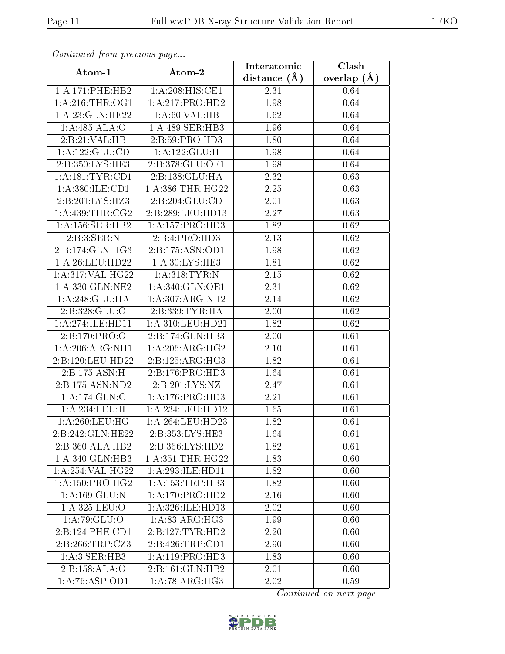| Continuea from previous page |                             | Interatomic       | Clash         |
|------------------------------|-----------------------------|-------------------|---------------|
| Atom-1                       | Atom-2                      | distance $(A)$    | overlap $(A)$ |
| 1: A:171: PHE:HB2            | 1:A:208:HIS:CE1             | 2.31              | 0.64          |
| 1: A:216:THR:OG1             | 1:A:217:PRO:HD2             | 1.98              | 0.64          |
| 1: A:23: GLN: HE22           | 1: A:60: VAL:HB             | 1.62              | 0.64          |
| 1:A:485:ALA:O                | 1:A:489:SER:HB3             | 1.96              | 0.64          |
| 2:B:21:VAL:HB                | 2:B:59:PRO:HD3              | 1.80              | 0.64          |
| 1:A:122:GLU:CD               | 1:A:122:GLU:H               | 1.98              | 0.64          |
| 2:B:350:LYS:HE3              | 2:B:378:GLU:OE1             | 1.98              | 0.64          |
| 1: A:181:TYR:CD1             | 2:B:138:GLU:HA              | 2.32              | 0.63          |
| 1: A:380: ILE: CD1           | 1: A: 386: THR: HG22        | $\overline{2.25}$ | 0.63          |
| 2:B:201:LYS:HZ3              | 2: B:204: GLU:CD            | 2.01              | 0.63          |
| 1: A:439:THR:CG2             | 2:B:289:LEU:HD13            | 2.27              | 0.63          |
| 1: A: 156: SER: HB2          | 1:A:157:PRO:HD3             | 1.82              | 0.62          |
| 2:B:3:SER:N                  | 2:B:4:PRO:H <sub>D3</sub>   | 2.13              | $0.62\,$      |
| 2:B:174:GLN:HG3              | 2:B:175:ASN:OD1             | 1.98              | 0.62          |
| 1: A:26:LEU:HD22             | 1: A:30: LYS: HE3           | 1.81              | 0.62          |
| 1:A:317:VAL:HG22             | 1: A:318: TYR: N            | 2.15              | 0.62          |
| 1:A:330:GLN:NE2              | 1:A:340:GLN:OE1             | 2.31              | 0.62          |
| 1: A:248: GLU:HA             | 1:A:307:ARG:NH2             | 2.14              | $0.62\,$      |
| 2:B:328:GLU:O                | 2:B:339:TYR:HA              | $\overline{2}.00$ | 0.62          |
| 1: A:274: ILE: HDI1          | 1:A:310:LEU:HD21            | 1.82              | 0.62          |
| 2:B:170:PRO:O                | 2:B:174:GLN:HB3             | 2.00              | 0.61          |
| 1:A:206:ARG:NH1              | 1: A:206:ARG:HG2            | 2.10              | 0.61          |
| 2:B:120:LEU:HD22             | 2:B:125:ARG:HG3             | 1.82              | 0.61          |
| 2:B:175:ASN:H                | 2:B:176:PRO:HD3             | 1.64              | 0.61          |
| 2:B:175:ASN:ND2              | 2:B:201:LYS:NZ              | 2.47              | 0.61          |
| 1:A:174:GLN:C                | 1: A:176: PRO:HD3           | 2.21              | 0.61          |
| 1:A:234:LEU:H                | 1: A: 234: LEU: HD12        | 1.65              | 0.61          |
| 1: A:260:LEU:HG              | 1: A:264:LEU:HD23           | 1.82              | 0.61          |
| 2:B:242:GLN:HE22             | 2:B:353:LYS:HE3             | 1.64              | 0.61          |
| 2:B:360:ALA:HB2              | 2:B:366:LYS:HD2             | 1.82              | 0.61          |
| $1:A:340:GLN:\overline{HB3}$ | 1: A: 351: THR: HG22        | 1.83              | 0.60          |
| 1:A:254:VAL:HG22             | 1:A:293:ILE:HD11            | 1.82              | 0.60          |
| 1: A: 150: PRO:HG2           | 1: A: 153: TRP: HB3         | 1.82              | 0.60          |
| 1:A:169:GLU:N                | 1: A:170: PRO:HD2           | 2.16              | 0.60          |
| 1: A:325: LEU:O              | 1:A:326:ILE:HD13            | 2.02              | 0.60          |
| 1:A:79:GLU:O                 | $1:A:83.\overline{ARG:HG3}$ | 1.99              | 0.60          |
| 2:B:124:PHE:CD1              | 2:B:127:TYR:HD2             | 2.20              | 0.60          |
| 2:B:266:TRP:CZ3              | 2:B:426:TRP:CD1             | 2.90              | 0.60          |
| 1: A:3: SER:HB3              | 1: A: 119: PRO: HD3         | 1.83              | 0.60          |
| 2:B:158:ALA:O                | 2:B:161:GLN:HB2             | 2.01              | 0.60          |
| 1:A:76:ASP:OD1               | 1: A:78: ARG: HG3           | 2.02              | 0.59          |

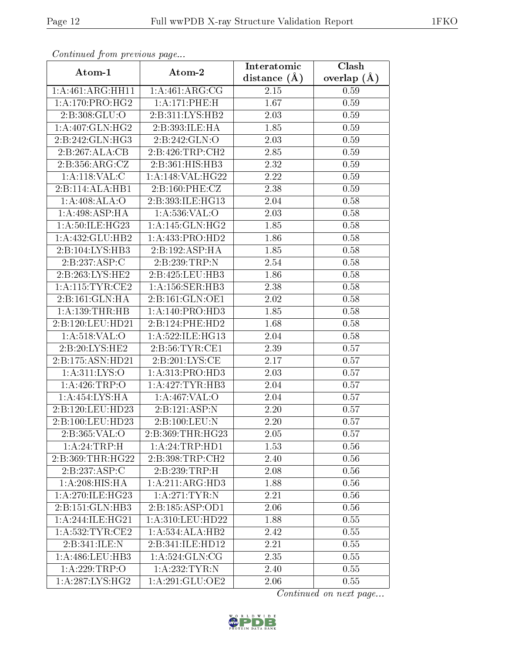| Continuea from previous page        |                              | Interatomic      | Clash           |
|-------------------------------------|------------------------------|------------------|-----------------|
| Atom-1                              | Atom-2                       | distance $(\AA)$ | overlap $(\AA)$ |
| 1:A:461:ARG:HH11                    | 1:A:461:ARG:CG               | 2.15             | 0.59            |
| 1: A:170:PRO:HG2                    | 1:A:171:PHE:H                | 1.67             | 0.59            |
| 2:B:308:GLU:O                       | $2:B:311:LYS:H\overline{B2}$ | 2.03             | 0.59            |
| 1: A:407: GLN: HG2                  | 2:B:393:ILE:HA               | 1.85             | 0.59            |
| 2:B:242:GLN:HG3                     | 2:B:242:GLN:O                | 2.03             | 0.59            |
| 2:B:267:ALA:CB                      | 2:B:426:TRP:CH2              | 2.85             | 0.59            |
| 2:B:356:ARG:CZ                      | 2:B:361:HIS:HB3              | 2.32             | 0.59            |
| 1:A:118:VAL:CC                      | 1:A:148:VAL:HG22             | 2.22             | 0.59            |
| 2:B:114:ALA:HB1                     | 2:B:160:PHE:CZ               | 2.38             | 0.59            |
| 1:A:408:ALA:O                       | 2:B:393:ILE:HG13             | 2.04             | 0.58            |
| 1: A:498: ASP:HA                    | 1: A:536: VAL:O              | 2.03             | 0.58            |
| 1:A:50:ILE:HG23                     | 1: A:145: GLN: HG2           | 1.85             | 0.58            |
| 1:A:432:GLU:HB2                     | 1:A:433:PRO:HD2              | 1.86             | 0.58            |
| $2:B:104:\overline{\text{LYS:HB3}}$ | 2:B:192:ASP:HA               | 1.85             | 0.58            |
| 2:B:237:ASP:C                       | 2:B:239:TRP:N                | 2.54             | 0.58            |
| 2:B:263:LYS:HE2                     | 2:B:425:LEU:HB3              | 1.86             | 0.58            |
| 1: A:115: TYR: CE2                  | 1: A: 156: SER: HB3          | 2.38             | 0.58            |
| 2:B:161:GLN:HA                      | 2:B:161:GLN:OE1              | 2.02             | 0.58            |
| 1:A:139:THR:HB                      | 1: A:140: PRO:HD3            | 1.85             | 0.58            |
| 2:B:120:LEU:HD21                    | 2:B:124:PHE:HD2              | 1.68             | 0.58            |
| 1:A:518:VAL:O                       | 1:A:522:ILE:HG13             | 2.04             | 0.58            |
| 2:B:20:LYS:HE2                      | 2: B: 56: TYR: CE1           | 2.39             | 0.57            |
| 2:B:175:ASN:HD21                    | 2:B:201:LYS:CE               | 2.17             | 0.57            |
| 1:A:311:LYS:O                       | 1:A:313:PRO:HD3              | 2.03             | 0.57            |
| 1:A:426:TRP:O                       | 1: A:427:TYR:HB3             | 2.04             | 0.57            |
| 1:A:454:LYS:HA                      | 1:A:467:VAL:O                | 2.04             | 0.57            |
| 2:B:120:LEU:HD23                    | 2:B:121:ASP:N                | 2.20             | 0.57            |
| 2:B:100:LEU:HD23                    | 2:B:100:LEU:N                | 2.20             | 0.57            |
| 2:B:365:VAL:O                       | 2:B:369:THR:HG23             | 2.05             | 0.57            |
| 1:A:24:TRP:H                        | 1: A:24:TRP:HD1              | 1.53             | 0.56            |
| 2:B:369:THR:HG22                    | 2: B: 398: TRP: CH2          | 2.40             | 0.56            |
| 2:B:237:ASP:C                       | 2:B:239:TRP:H                | 2.08             | 0.56            |
| 1: A:208: HIS: HA                   | 1:A:211:ARG:HD3              | 1.88             | 0.56            |
| 1: A:270: ILE: HG23                 | 1:A:271:TYR:N                | 2.21             | 0.56            |
| 2:B:151:GLN:HB3                     | 2:B:185:ASP:OD1              | 2.06             | 0.56            |
| 1:A:244:ILE:HG21                    | 1:A:310:LEU:HD22             | 1.88             | 0.55            |
| 1: A:532:TYR:CE2                    | 1:A:534:ALA:HB2              | 2.42             | 0.55            |
| 2:B:341:ILE:N                       | 2:B:341:ILE:HD12             | 2.21             | 0.55            |
| 1: A:486: LEU:HB3                   | 1: A:524: GLN: CG            | 2.35             | 0.55            |
| 1:A:229:TRP:O                       | 1:A:232:TYR:N                | 2.40             | 0.55            |
| 1:A:287:LYS:HG2                     | 1: A:291: GLU:OE2            | 2.06             | 0.55            |

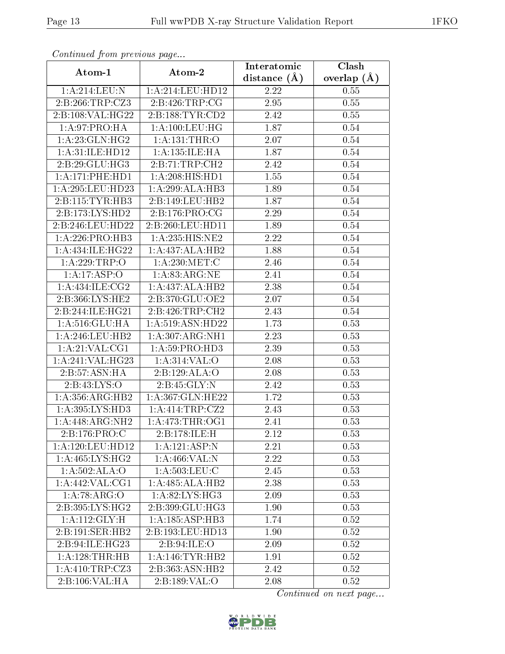| Commuca from previous page    |                     | Interatomic    | Clash         |
|-------------------------------|---------------------|----------------|---------------|
| Atom-1                        | Atom-2              | distance $(A)$ | overlap $(A)$ |
| 1:A:214:LEU:N                 | 1:A:214:LEU:HD12    | 2.22           | 0.55          |
| 2:B:266:TRP:CZ3               | 2:B:426:TRP:CG      | 2.95           | 0.55          |
| 2:B:108:VAL:HG22              | 2: B: 188: TYR: CD2 | 2.42           | 0.55          |
| 1: A:97: PRO:HA               | 1: A: 100: LEU: HG  | 1.87           | 0.54          |
| 1: A:23: GLN: HG2             | 1: A: 131: THR:O    | 2.07           | 0.54          |
| 1: A:31: ILE: HD12            | 1:A:135:ILE:HA      | 1.87           | 0.54          |
| 2:B:29:GLU:HG3                | 2: B: 71: TRP: CH2  | 2.42           | 0.54          |
| 1: A:171: PHE: HD1            | 1: A:208: HIS: HD1  | 1.55           | 0.54          |
| 1:A:295:LEU:HD23              | 1:A:299:ALA:HB3     | 1.89           | 0.54          |
| 2: B: 115: TYR: HB3           | 2:B:149:LEU:HB2     | 1.87           | 0.54          |
| 2:B:173:LYS:HD2               | 2: B: 176: PRO: CG  | 2.29           | 0.54          |
| 2:B:246:LEU:HD22              | 2:B:260:LEU:HD11    | 1.89           | $0.54\,$      |
| 1:A:226:PRO:HB3               | 1:A:235:HIS:NE2     | 2.22           | 0.54          |
| 1: A: 434: ILE: HG22          | 1:A:437:ALA:HB2     | 1.88           | 0.54          |
| 1:A:229:TRP:O                 | 1: A:230:MET:C      | 2.46           | 0.54          |
| 1:A:17:ASP:O                  | 1: A:83:ARG:NE      | 2.41           | 0.54          |
| 1:A:434:ILE:CG2               | 1:A:437:ALA:HB2     | 2.38           | $0.54\,$      |
| 2:B:366:LYS:HE2               | 2:B:370:GLU:OE2     | 2.07           | 0.54          |
| $2:B:244:I\overline{LE:HG21}$ | 2:B:426:TRP:CH2     | 2.43           | 0.54          |
| 1:A:516:GLU:HA                | 1:A:519:ASN:HD22    | 1.73           | 0.53          |
| 1: A:246:LEU:HB2              | 1: A:307: ARG: NH1  | 2.23           | 0.53          |
| 1: A:21: VAL:CG1              | 1: A:59: PRO:HD3    | 2.39           | 0.53          |
| 1:A:241:VAL:HG23              | 1:A:314:VAL:O       | 2.08           | 0.53          |
| 2:B:57:ASN:HA                 | 2:B:129:ALA:O       | 2.08           | 0.53          |
| 2:B:43:LYS:O                  | 2:B:45:GLY:N        | 2.42           | 0.53          |
| 1: A: 356: ARG: HB2           | 1:A:367:GLN:HE22    | 1.72           | 0.53          |
| 1:A:395:LYS:HD3               | 1: A: 414: TRP: CZ2 | 2.43           | 0.53          |
| 1:A:448:ARG:NH2               | 1: A:473:THR:OG1    | 2.41           | 0.53          |
| 2:B:176:PRO:C                 | 2:B:178:ILE:H       | 2.12           | 0.53          |
| $1: A:120:$ LEU:HD12          | 1:A:121:ASP:N       | 2.21           | 0.53          |
| 1: A:465:LYS:HG2              | 1:A:466:VAL:N       | 2.22           | 0.53          |
| 1:A:502:ALA:O                 | 1: A: 503: LEU: C   | 2.45           | 0.53          |
| 1: A:442: VAL:CG1             | 1:A:485:ALA:HB2     | 2.38           | 0.53          |
| 1:A:78:ARG:O                  | 1: A:82:LYS:HG3     | 2.09           | 0.53          |
| 2:B:395:LYS:HG2               | 2:B:399:GLU:HG3     | 1.90           | 0.53          |
| 1:A:112:GLY:H                 | 1:A:185:ASP:HB3     | 1.74           | 0.52          |
| 2:B:191:SER:HB2               | 2:B:193:LEU:HD13    | 1.90           | 0.52          |
| 2:B:94:ILE:HG23               | 2:B:94:ILE:O        | 2.09           | 0.52          |
| 1:A:128:THR:HB                | 1: A:146:TYR:HB2    | 1.91           | 0.52          |
| 1:A:410:TRP:CZ3               | 2:B:363:ASN:HB2     | 2.42           | 0.52          |
| 2:B:106:VAL:HA                | 2:B:189:VAL:O       | 2.08           | 0.52          |

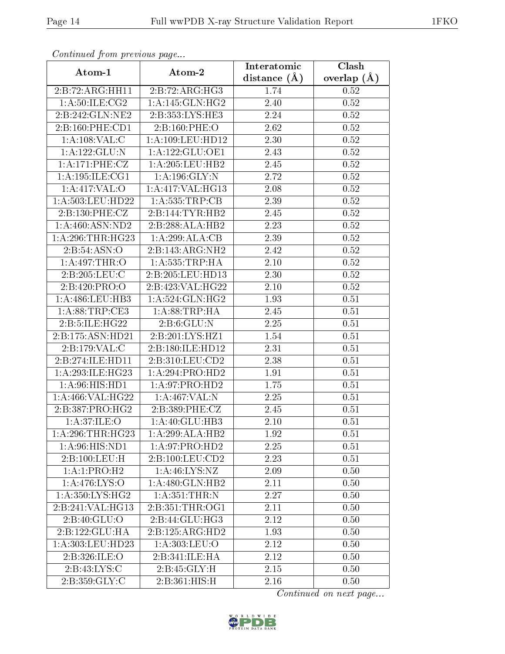| Continuea from previous page |                               | Interatomic    | Clash         |
|------------------------------|-------------------------------|----------------|---------------|
| Atom-1                       | Atom-2                        | distance $(A)$ | overlap $(A)$ |
| 2:B:72:ARG:HH11              | 2:B:72:ARG:HG3                | 1.74           | 0.52          |
| 1: A:50: ILE: CG2            | 1: A:145: GLN: HG2            | 2.40           | 0.52          |
| $2:B:242:GLN:N\overline{E2}$ | 2:B:353:LYS:HE3               | 2.24           | 0.52          |
| 2:B:160:PHE:CD1              | 2:B:160:PHE:O                 | 2.62           | 0.52          |
| 1:A:108:VAL:CC               | 1: A: 109: LEU: HD12          | 2.30           | 0.52          |
| 1:A:122:GLU:N                | 1:A:122:GLU:OE1               | 2.43           | 0.52          |
| 1:A:171:PHE:CZ               | 1:A:205:LEU:HB2               | 2.45           | 0.52          |
| 1: A:195: ILE: CG1           | 1: A: 196: GLY:N              | 2.72           | 0.52          |
| 1: A:417: VAL:O              | $1:A:417:\overline{VAL}:HG13$ | <b>2.08</b>    | 0.52          |
| 1:A:503:LEU:HD22             | 1: A: 535: TRP: CB            | 2.39           | 0.52          |
| 2: B: 130: PHE: CZ           | 2:B:144:TYR:HB2               | 2.45           | 0.52          |
| 1: A:460: ASN:ND2            | 2:B:288:ALA:HB2               | 2.23           | 0.52          |
| 1: A:296:THR:HG23            | 1:A:299:ALA:CB                | 2.39           | 0.52          |
| 2: B:54: ASN:O               | 2:B:143:ARG:NH2               | 2.42           | 0.52          |
| 1: A:497:THR:O               | 1: A: 535: TRP: HA            | 2.10           | 0.52          |
| 2:B:205:LEU:C                | 2:B:205:LEU:HD13              | 2.30           | 0.52          |
| 2:B:420:PRO:O                | 2:B:423:VAL:HG22              | 2.10           | 0.52          |
| 1:A:486:LEU:HB3              | 1: A:524: GLN: HG2            | 1.93           | 0.51          |
| 1: A:88:TRP:CE3              | 1: A:88:TRP:HA                | 2.45           | 0.51          |
| 2:B:5:ILE:HG22               | 2: B:6: GLU:N                 | 2.25           | 0.51          |
| 2:B:175:ASN:HD21             | 2:B:201:LYS:HZ1               | 1.54           | 0.51          |
| 2:B:179:VAL:CC               | 2:B:180:ILE:HD12              | 2.31           | 0.51          |
| 2:B:274:ILE:HD11             | 2:B:310:LEU:CD2               | 2.38           | 0.51          |
| 1: A:293: ILE: HG23          | 1:A:294:PRO:HD2               | 1.91           | 0.51          |
| 1: A:96: HIS: HD1            | 1:A:97:PRO:HD2                | 1.75           | 0.51          |
| 1:A:466:VAL:HG22             | 1:A:467:VAL:N                 | 2.25           | 0.51          |
| 2:B:387:PRO:HG2              | 2:B:389:PHE:CZ                | 2.45           | 0.51          |
| 1:A:37:ILE:O                 | 1:A:40:GLU:HB3                | $2.10\,$       | 0.51          |
| 1: A:296:THR:HG23            | 1:A:299:ALA:HB2               | 1.92           | 0.51          |
| 1: A:96: HIS: ND1            | 1:A:97:PRO:HD2                | 2.25           | 0.51          |
| 2:B:100:LEU:H                | 2:B:100:LEU:CD2               | 2.23           | 0.51          |
| 1:A:1:PRO:H2                 | 1: A:46: LYS: NZ              | 2.09           | 0.50          |
| 1: A:476: LYS:O              | 1: A:480: GLN: HB2            | 2.11           | 0.50          |
| 1:A:350:LYS:HG2              | 1: A:351:THR:N                | 2.27           | 0.50          |
| 2:B:241:VAL:HG13             | 2: B: 351: THR: OG1           | 2.11           | 0.50          |
| 2: B:40: GLU:O               | 2:B:44:GLU:HG3                | 2.12           | 0.50          |
| 2:B:122:GLU:HA               | 2:B:125:ARG:HD2               | 1.93           | 0.50          |
| 1:A:303:LEU:HD23             | 1: A:303:LEU:O                | 2.12           | 0.50          |
| 2:B:326:ILE:O                | 2:B:341:ILE:HA                | 2.12           | 0.50          |
| 2: B: 43: LYS: C             | 2:B:45:GLY:H                  | 2.15           | 0.50          |
| 2:B:359:GLY:C                | 2:B:361:HIS:H                 | 2.16           | 0.50          |

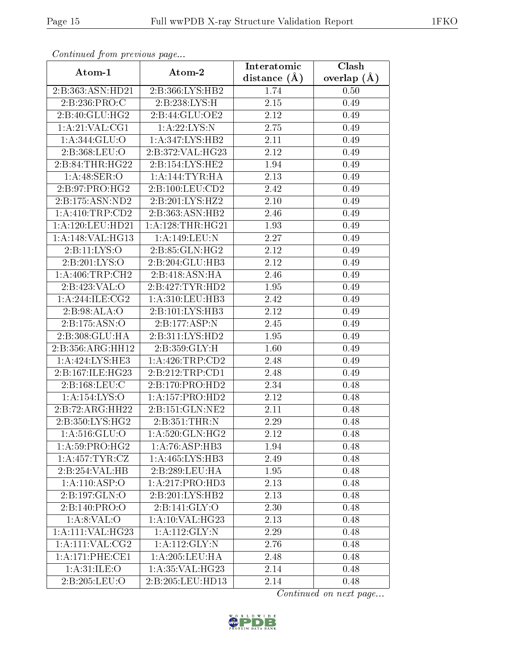| Commuca from previous page |                                     | Interatomic    | Clash           |
|----------------------------|-------------------------------------|----------------|-----------------|
| Atom-1                     | Atom-2                              | distance $(A)$ | overlap $(\AA)$ |
| 2:B:363:ASN:HD21           | 2:B:366:LYS:HB2                     | 1.74           | 0.50            |
| 2:B:236:PRO:C              | 2:B:238:LYS:H                       | 2.15           | 0.49            |
| 2:B:40:GLU:HG2             | 2:B:44:GLU:OE2                      | 2.12           | 0.49            |
| 1: A:21: VAL:CG1           | 1: A:22:LYS:N                       | 2.75           | 0.49            |
| 1: A:344: GLU:O            | 1: A: 347: LYS: HB2                 | 2.11           | 0.49            |
| 2:B:368:LEU:O              | 2:B:372:VAL:HG23                    | 2.12           | 0.49            |
| 2: B:84:THR:HG22           | 2:B:154:LYS:HE2                     | 1.94           | 0.49            |
| 1:A:48:SER:O               | 1:A:144:TYR:HA                      | 2.13           | 0.49            |
| 2:B:97:PRO:HG2             | 2:B:100:LEU:CD2                     | 2.42           | 0.49            |
| 2:B:175:ASN:ND2            | 2: B:201:LYS:HZ2                    | 2.10           | 0.49            |
| 1: A: 410: TRP: CD2        | 2:B:363:ASN:HB2                     | 2.46           | 0.49            |
| 1: A:120: LEU: HD21        | 1: A:128:THR:HG21                   | 1.93           | 0.49            |
| 1:A:148:VAL:HG13           | 1:A:149:LEU:N                       | 2.27           | 0.49            |
| 2:Bi:11:LYS:O              | 2: B: 85: GLN: HG2                  | 2.12           | 0.49            |
| 2:B:201:LYS:O              | 2:B:204:GLU:HB3                     | 2.12           | 0.49            |
| 1: A:406:TRP:CH2           | 2:B:418:ASN:HA                      | 2.46           | 0.49            |
| 2:B:423:VAL:O              | 2:B:427:TYR:HD2                     | 1.95           | 0.49            |
| 1: A:244: ILE: CG2         | 1:A:310:LEU:HB3                     | 2.42           | 0.49            |
| 2:B:98:ALA:O               | $2:B:101:\overline{\text{LYS:HB3}}$ | 2.12           | 0.49            |
| 2:B:175:ASN:O              | 2:B:177:ASP:N                       | 2.45           | 0.49            |
| 2:B:308:GLU:HA             | 2:B:311:LYS:HD2                     | 1.95           | 0.49            |
| 2:B:356:ARG:HH12           | 2:B:359:GLY:H                       | 1.60           | 0.49            |
| 1:A:424:LYS:HE3            | 1: A:426:TRP:CD2                    | 2.48           | 0.49            |
| 2:B:167:ILE:HG23           | 2:B:212:TRP:CD1                     | 2.48           | 0.49            |
| 2:B:168:LEU:C              | 2:B:170:PRO:HD2                     | 2.34           | 0.48            |
| 1:A:154:LYS:O              | 1: A: 157: PRO: HD2                 | 2.12           | 0.48            |
| 2:B:72:ARG:HH22            | 2:B:151:GLN:NE2                     | 2.11           | 0.48            |
| 2:B:350:LYS:HG2            | 2:B:351:THR:N                       | 2.29           | 0.48            |
| 1: A:516: GLU:O            | 1: A:520: GLN: HG2                  | 2.12           | 0.48            |
| 1:A:59:PRO:HG2             | 1: A:76: ASP:HB3                    | 1.94           | 0.48            |
| 1: A: 457: TYR: CZ         | 1: A:465:LYS:HB3                    | 2.49           | 0.48            |
| 2:B:254:VAL:HB             | 2:B:289:LEU:HA                      | 1.95           | 0.48            |
| 1:A:110:ASP:O              | 1:A:217:PRO:HD3                     | 2.13           | 0.48            |
| 2:B:197:GLN:O              | 2:B:201:LYS:HB2                     | 2.13           | 0.48            |
| 2:B:140:PRO:O              | 2:B:141:GLY:O                       | 2.30           | 0.48            |
| 1: A:8: VAL:O              | 1:A:10:VAL:HG23                     | 2.13           | 0.48            |
| 1:A:111:VAL:HG23           | 1:A:112:GLY:N                       | 2.29           | 0.48            |
| 1: A: 111: VAL: CG2        | 1:A:112:GLY:N                       | 2.76           | 0.48            |
| 1: A:171: PHE:CE1          | 1: A:205:LEU:HA                     | 2.48           | 0.48            |
| 1: A:31: ILE: O            | 1: A:35: VAL:HG23                   | 2.14           | 0.48            |
| 2:B:205:LEU:O              | 2:B:205:LEU:HD13                    | 2.14           | 0.48            |

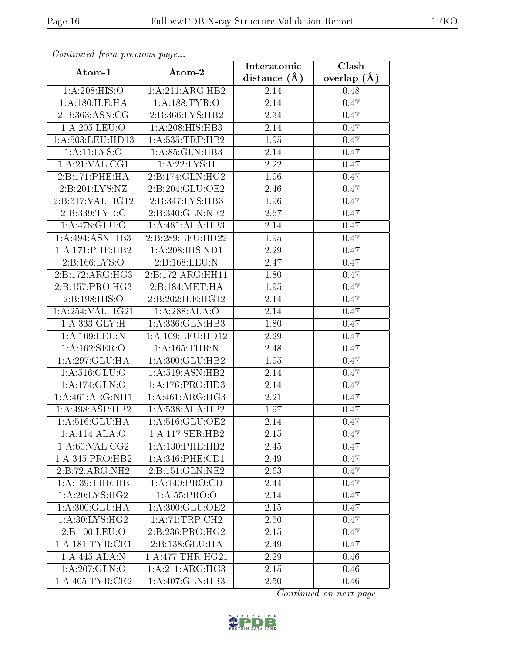| сонинией јтот ртеvиоиз раде |                     | Interatomic    | Clash           |
|-----------------------------|---------------------|----------------|-----------------|
| Atom-1                      | Atom-2              | distance $(A)$ | overlap $(\AA)$ |
| 1: A:208: HIS:O             | 1:A:211:ARG:HB2     | 2.14           | 0.48            |
| 1: A:180: ILE: HA           | 1: A: 188: TYR: O   | 2.14           | 0.47            |
| 2:B:363:ASN:CG              | 2:B:366:LYS:HB2     | 2.34           | 0.47            |
| 1:A:205:LEU:O               | 1:A:208:HIS:HB3     | 2.14           | 0.47            |
| 1: A:503:LEU:HD13           | 1:A:535:TRP:HB2     | 1.95           | 0.47            |
| 1: A:11:LYS:O               | 1:A:85:GLN:HB3      | 2.14           | 0.47            |
| 1: A:21: VAL:CG1            | 1: A:22:LYS:H       | 2.22           | 0.47            |
| 2:B:171:PHE:HA              | 2:B:174:GLN:HG2     | 1.96           | 0.47            |
| 2:B:201:LYS:NZ              | 2:B:204:GLU:OE2     | 2.46           | 0.47            |
| 2:B:317:VAL:HG12            | 2:B:347:LYS:HB3     | 1.96           | 0.47            |
| 2:B:339:TYR:C               | 2:B:340:GLN:NE2     | 2.67           | 0.47            |
| 1:A:478:GLU:O               | 1:A:481:ALA:HB3     | 2.14           | 0.47            |
| 1:A:494:ASN:HB3             | 2:B:289:LEU:HD22    | 1.95           | 0.47            |
| 1: A:171:PHE:HB2            | 1:A:208:HIS:ND1     | 2.29           | 0.47            |
| 2:B:166:LYS:O               | 2:B:168:LEU:N       | 2.47           | 0.47            |
| 2:B:172:ARG:HG3             | 2:B:172:ARG:HH11    | 1.80           | 0.47            |
| 2:B:157:PRO:HG3             | 2:B:184:MET:HA      | 1.95           | 0.47            |
| 2:B:198:HIS:O               | 2:B:202:ILE:HG12    | 2.14           | 0.47            |
| 1:A:254:VAL:HG21            | 1:A:288:ALA:O       | 2.14           | 0.47            |
| 1:A:333:GLY:H               | 1:A:336: GLN: HB3   | 1.80           | 0.47            |
| 1:A:109:LEU:N               | 1:A:109:LEU:HD12    | 2.29           | 0.47            |
| 1:A:162:SER:O               | 1:A:165:THR:N       | 2.48           | 0.47            |
| 1:A:297:GLU:HA              | 1:A:300:GLU:HB2     | 1.95           | 0.47            |
| 1: A:516: GLU:O             | 1:A:519:ASN:HB2     | 2.14           | 0.47            |
| 1:A:174:GLN:O               | 1: A:176: PRO:HD3   | 2.14           | 0.47            |
| 1:A:461:ARG:NH1             | 1: A:461: ARG:HG3   | 2.21           | 0.47            |
| 1:A:498:ASP:HB2             | 1:A:538:ALA:HB2     | 1.97           | 0.47            |
| 1:A:516:GLU:HA              | 1: A:516: GLU:OE2   | 2.14           | 0.47            |
| 1:A:114:ALA:O               | 1:A:117:SER:HB2     | 2.15           | 0.47            |
| 1: A:60: VAL: CG2           | 1: A: 130: PHE: HB2 | 2.45           | 0.47            |
| 1: A:345: PRO:HB2           | $1: A:346:$ PHE:CD1 | 2.49           | 0.47            |
| 2:B:72:ARG:NH2              | 2:B:151:GLN:NE2     | 2.63           | 0.47            |
| 1:A:139:THR:HB              | 1: A:140: PRO:CD    | 2.44           | 0.47            |
| 1: A:20: LYS: HG2           | 1: A:55: PRO:O      | 2.14           | 0.47            |
| 1: A:300: GLU:HA            | 1: A:300: GLU:OE2   | 2.15           | 0.47            |
| 1: A:30: LYS: HG2           | 1:A:71:TRP:CH2      | 2.50           | 0.47            |
| 2:B:100:LEU:O               | 2:B:236:PRO:HG2     | 2.15           | 0.47            |
| 1: A:181:TYR:CE1            | 2:B:138:GLU:HA      | 2.49           | 0.47            |
| 1:A:445:ALA:N               | 1: A:477:THR:HG21   | 2.29           | 0.46            |
| 1:A:207:GLN:O               | 1:A:211:ARG:HG3     | 2.15           | 0.46            |
| 1: A:405: TYR:CE2           | 1:A:407:GLN:HB3     | 2.50           | 0.46            |

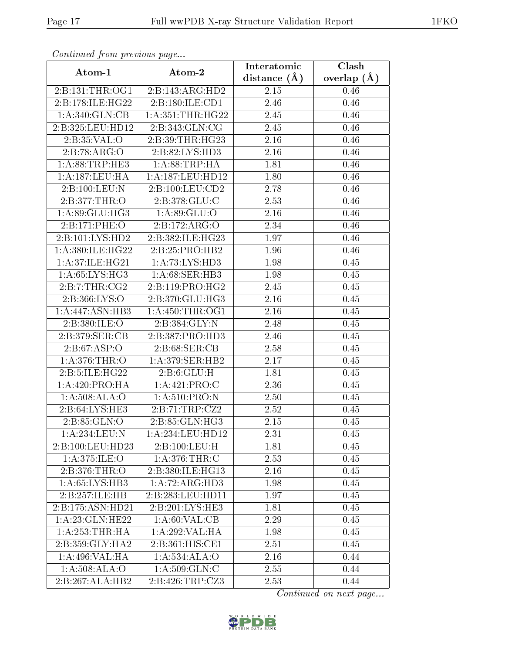| Communa from previous page |                      | Interatomic    | Clash         |
|----------------------------|----------------------|----------------|---------------|
| Atom-1                     | Atom-2               | distance $(A)$ | overlap $(A)$ |
| 2:B:131:THR:OG1            | 2:B:143:ARG:HD2      | 2.15           | 0.46          |
| 2:B:178:ILE:HG22           | 2:B:180:ILE:CD1      | 2.46           | 0.46          |
| 1:A:340:GLN:CB             | 1: A: 351: THR: HG22 | 2.45           | 0.46          |
| 2:B:325:LEU:HD12           | 2:B:343:GLN:CG       | 2.45           | 0.46          |
| 2:B:35:VAL:O               | 2:B:39:THR:HG23      | 2.16           | 0.46          |
| 2:B:78:ARG:O               | 2:B:82:LYS:HD3       | 2.16           | 0.46          |
| 1:A:88:TRP:HE3             | 1: A:88:TRP:HA       | 1.81           | 0.46          |
| 1: A: 187:LEU: HA          | 1:A:187:LEU:HD12     | 1.80           | 0.46          |
| 2:B:100:LEU:N              | 2:B:100:LEU:CD2      | 2.78           | 0.46          |
| 2:B:377:THR:O              | 2:B:378:GLU:C        | 2.53           | 0.46          |
| 1:A:89:GLU:HG3             | 1: A:89: GLU:O       | 2.16           | 0.46          |
| 2:B:171:PHE:O              | 2:B:172:ARG:O        | 2.34           | 0.46          |
| 2:B:101:LYS:HD2            | 2:B:382:ILE:HG23     | 1.97           | 0.46          |
| 1:A:380:ILE:HG22           | 2:B:25:PRO:HB2       | 1.96           | 0.46          |
| 1:A:37:ILE:HG21            | 1:A:73:LYS:HD3       | 1.98           | 0.45          |
| 1:A:65:LYS:HG3             | 1:A:68:SER:HB3       | 1.98           | 0.45          |
| 2:B:7:THR:CG2              | 2:B:119:PRO:HG2      | 2.45           | 0.45          |
| 2:B:366:LYS:O              | 2:B:370:GLU:HG3      | 2.16           | 0.45          |
| 1:A:447:ASN:HB3            | 1: A: 450: THR:OG1   | 2.16           | 0.45          |
| 2: B: 380: ILE: O          | 2:B:384:GLY:N        | 2.48           | 0.45          |
| 2:B:379:SER:CB             | 2:B:387:PRO:HD3      | 2.46           | 0.45          |
| 2: B:67:ASP:O              | 2:B:68:SER:CB        | 2.58           | 0.45          |
| 1: A:376:THR:O             | 1: A:379: SER: HB2   | 2.17           | 0.45          |
| 2:B:5:ILE:HG22             | 2: B:6: GLU: H       | 1.81           | 0.45          |
| 1: A:420: PRO:HA           | 1:A:421:PRO:C        | 2.36           | 0.45          |
| 1: A:508: ALA:O            | 1: A:510: PRO: N     | 2.50           | 0.45          |
| 2:B:64:LYS:HE3             | 2:B:71:TRP:CZ2       | 2.52           | 0.45          |
| 2:B:85:GLN:O               | 2:B:85:GLN:HG3       | 2.15           | 0.45          |
| $1:$ A:234:LEU:N           | 1:A:234:LEU:HD12     | 2.31           | 0.45          |
| 2:B:100:LEU:HD23           | 2:B:100:LEU:H        | 1.81           | 0.45          |
| 1:A:375:ILE:O              | 1: A:376:THR:C       | 2.53           | 0.45          |
| 2:B:376:THR:O              | 2:B:380:ILE:HG13     | 2.16           | 0.45          |
| 1:A:65:LYS:HB3             | 1:A:72:ARG:HD3       | 1.98           | 0.45          |
| 2:B:257:ILE:HB             | 2:B:283:LEU:HD11     | 1.97           | 0.45          |
| 2:B:175:ASN:HD21           | 2:B:201:LYS:HE3      | 1.81           | 0.45          |
| 1: A:23: GLN: HE22         | 1: A:60: VAL:CB      | 2.29           | 0.45          |
| 1: A:253:THR:HA            | 1:A:292:VAL:HA       | 1.98           | 0.45          |
| 2:B:359:GLY:HA2            | 2:B:361:HIS:CE1      | 2.51           | 0.45          |
| 1:A:496:VAL:HA             | 1:A:534:ALA:O        | 2.16           | 0.44          |
| 1: A:508: ALA:O            | 1:A:509:GLN:C        | 2.55           | 0.44          |
| 2:B:267:ALA:HB2            | 2:B:426:TRP:CZ3      | 2.53           | 0.44          |

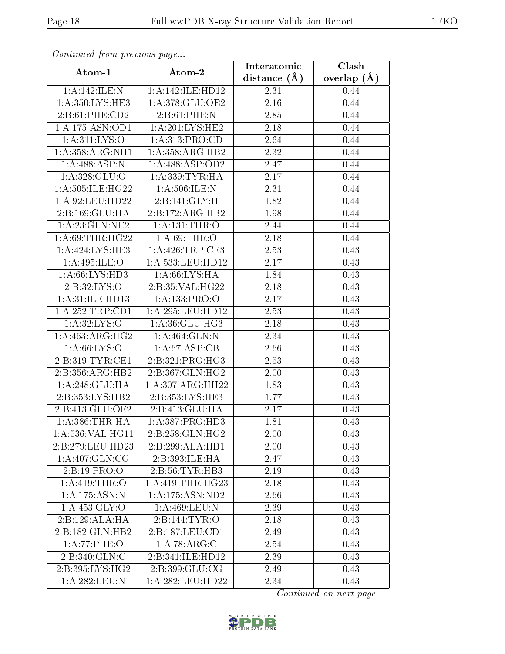| Continuea from previous page |                     | Interatomic       | Clash         |
|------------------------------|---------------------|-------------------|---------------|
| Atom-1                       | Atom-2              | distance $(A)$    | overlap $(A)$ |
| 1:A:142:ILE:N                | 1:A:142:ILE:HD12    | 2.31              | 0.44          |
| 1:A:350:LYS:HE3              | 1:A:378:GLU:OE2     | $\overline{2.16}$ | 0.44          |
| 2: B:61: PHE:CD2             | 2:B:61:PHE:N        | 2.85              | 0.44          |
| 1:A:175:ASN:OD1              | 1:A:201:LYS:HE2     | 2.18              | 0.44          |
| 1: A: 311: LYS: O            | 1: A: 313: PRO: CD  | 2.64              | 0.44          |
| 1:A:358:ARG:NH1              | 1:A:358:ARG:HB2     | 2.32              | 0.44          |
| $1:A:488:ASP:\overline{N}$   | 1:A:488:ASP:OD2     | 2.47              | 0.44          |
| 1: A:328: GLU:O              | 1: A: 339: TYR: HA  | 2.17              | 0.44          |
| 1: A: 505: ILE: HG22         | 1: A:506: ILE:N     | 2.31              | 0.44          |
| 1:A:92:LEU:HD22              | 2:B:141:GLY:H       | 1.82              | 0.44          |
| 2:B:169:GLU:HA               | 2:B:172:ARG:HB2     | 1.98              | 0.44          |
| 1: A:23: GLN:NE2             | 1: A:131:THR:O      | 2.44              | 0.44          |
| 1: A:69:THR:HG22             | 1: A:69:THR:O       | 2.18              | 0.44          |
| 1:A:424:LYS:HE3              | 1: A:426:TRP:CE3    | 2.53              | 0.43          |
| 1: A:495: ILE: O             | 1:A:533:LEU:HD12    | 2.17              | 0.43          |
| 1: A:66: LYS:HD3             | 1: A:66: LYS: HA    | 1.84              | 0.43          |
| 2:B:32:LYS:O                 | 2:B:35:VAL:HG22     | 2.18              | 0.43          |
| 1: A:31: ILE: HD13           | 1: A: 133: PRO: O   | 2.17              | 0.43          |
| 1: A: 252: TRP: CD1          | 1:A:295:LEU:HD12    | 2.53              | 0.43          |
| 1:A:32:LYS:O                 | 1: A:36: GLU:HG3    | 2.18              | 0.43          |
| 1: A:463:ARG:HG2             | 1:A:464:GLN:N       | 2.34              | 0.43          |
| 1: A:66: LYS:O               | 1: A:67: ASP:CB     | 2.66              | 0.43          |
| 2:B:319:TYR:CE1              | 2:B:321:PRO:HG3     | 2.53              | 0.43          |
| 2:B:356:ARG:HB2              | 2:B:367:GLN:HG2     | 2.00              | 0.43          |
| 1:A:248:GLU:HA               | 1: A:307: ARG: HH22 | 1.83              | 0.43          |
| 2:B:353:LYS:HB2              | 2:B:353:LYS:HE3     | 1.77              | 0.43          |
| 2:B:413:GLU:OE2              | 2:B:413:GLU:HA      | 2.17              | 0.43          |
| 1: A: 386: THR: HA           | 1:A:387:PRO:HD3     | 1.81              | 0.43          |
| 1:A:536:VAL:HG11             | 2:B:258:GLN:HG2     | 2.00              | 0.43          |
| 2:B:279:LEU:HD23             | 2:B:299:ALA:HB1     | 2.00              | 0.43          |
| 1: A:407: GLN:CG             | 2:B:393:ILE:HA      | 2.47              | 0.43          |
| 2:B:19:PRO:O                 | 2: B: 56: TYR: HB3  | 2.19              | 0.43          |
| 1:A:419:THR:O                | 1: A:419:THR:HG23   | 2.18              | 0.43          |
| 1:A:175:ASN:N                | 1:A:175:ASN:ND2     | 2.66              | 0.43          |
| 1: A: 453: GLY: O            | 1: A:469:LEU:N      | 2.39              | 0.43          |
| 2:B:129:ALA:HA               | 2:Bi:144:TYR:O      | 2.18              | 0.43          |
| 2:B:182:GLN:HB2              | 2:B:187:LEU:CD1     | 2.49              | 0.43          |
| $1:A:77:\overline{PHE:O}$    | 1:A:78:ARG:C        | 2.54              | 0.43          |
| 2:B:340:GLN:C                | 2:B:341:ILE:HD12    | 2.39              | 0.43          |
| 2:B:395:LYS:HG2              | 2:B:399:GLU:CG      | 2.49              | 0.43          |
| 1:A:282:LEU:N                | 1:A:282:LEU:HD22    | 2.34              | 0.43          |

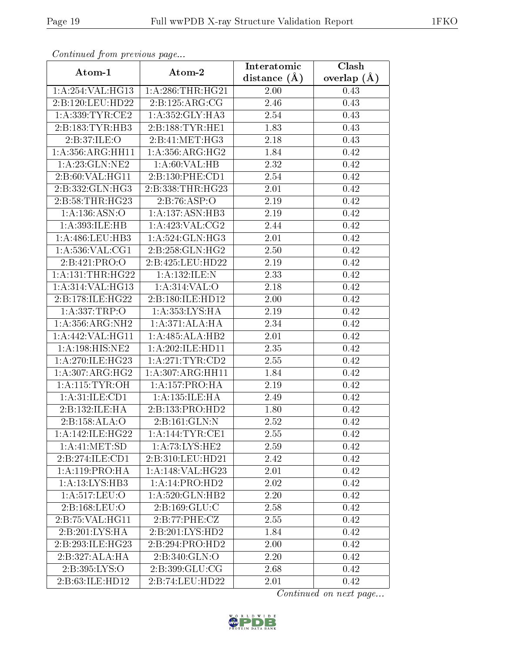| Continuea from previous page        |                     | Interatomic    | Clash           |
|-------------------------------------|---------------------|----------------|-----------------|
| Atom-1                              | Atom-2              | distance $(A)$ | overlap $(\AA)$ |
| 1:A:254:VAL:HG13                    | 1: A:286:THR:HG21   | 2.00           | 0.43            |
| 2:B:120:LEU:HD22                    | 2:B:125:ARG:CG      | 2.46           | 0.43            |
| 1: A: 339: TYR: CE2                 | 1:A:352:GLY:HA3     | 2.54           | 0.43            |
| 2:B:183:TYR:HB3                     | 2:B:188:TYR:HE1     | 1.83           | 0.43            |
| 2:B:37:ILE:O                        | 2:B:41:MET:HG3      | 2.18           | 0.43            |
| 1:A:356:ARG:HH11                    | 1: A:356:ARG:HG2    | 1.84           | 0.42            |
| 1: A:23: GLN:NE2                    | 1: A:60: VAL:HB     | 2.32           | 0.42            |
| 2:B:60:VAL:HG11                     | 2:B:130:PHE:CD1     | 2.54           | 0.42            |
| 2:B:332:GLN:HG3                     | 2:B:338:THR:HG23    | 2.01           | 0.42            |
| 2:B:58:THR:HG23                     | 2:B:76:ASP:O        | 2.19           | 0.42            |
| 1: A: 136: ASN: O                   | 1:A:137:ASN:HB3     | 2.19           | 0.42            |
| 1:A:393:ILE:HB                      | 1: A:423: VAL: CG2  | 2.44           | 0.42            |
| 1: A:486:LEU:HB3                    | 1:A:524:GLN:HG3     | 2.01           | 0.42            |
| 1: A:536: VAL:CG1                   | 2: B: 258: GLN: HG2 | 2.50           | 0.42            |
| 2:B:421:PRO:O                       | 2:B:425:LEU:HD22    | 2.19           | 0.42            |
| 1: A: 131: THR: HG22                | $1:$ A:132:ILE:N    | 2.33           | 0.42            |
| 1:A:314:VAL:HG13                    | 1:A:314:VAL:O       | 2.18           | 0.42            |
| 2:B:178:ILE:HG22                    | 2:B:180:ILE:HD12    | 2.00           | 0.42            |
| 1: A: 337: TRP:O                    | 1: A: 353: LYS: HA  | 2.19           | 0.42            |
| 1: A:356:ARG:NH2                    | 1:A:371:ALA:HA      | 2.34           | 0.42            |
| 1:A:442:VAL:HG11                    | 1:A:485:ALA:HB2     | 2.01           | 0.42            |
| 1:A:198:HIS:NE2                     | 1:A:202:ILE:HD11    | 2.35           | 0.42            |
| 1:A:270:ILE:HG23                    | 1: A:271:TYR:CD2    | 2.55           | 0.42            |
| 1: A:307: ARG: HG2                  | 1: A:307: ARG: HH11 | 1.84           | 0.42            |
| 1: A:115: TYR:OH                    | 1: A: 157: PRO:HA   | 2.19           | 0.42            |
| 1: A:31: ILE: CD1                   | 1:A:135:ILE:HA      | 2.49           | 0.42            |
| 2:B:132:ILE:HA                      | 2:B:133:PRO:HD2     | 1.80           | 0.42            |
| 2:B:158:ALA:O                       | 2:B:161:GLN:N       | $2.52\,$       | 0.42            |
| 1: A:142: ILE: HG22                 | 1: A:144:TYR:CE1    | 2.55           | 0.42            |
| 1:A:41:MET:SD                       | 1: A:73: LYS: HE2   | 2.59           | 0.42            |
| 2:B:274:ILE:CD1                     | 2:B:310:LEU:HD21    | 2.42           | 0.42            |
| 1: A:119: PRO:HA                    | 1: A:148: VAL:HG23  | 2.01           | 0.42            |
| 1:A:13:LYS:HB3                      | 1:A:14:PRO:HD2      | 2.02           | 0.42            |
| $1: A:517: \overline{\text{LEU:O}}$ | 1: A:520: GLN: HB2  | 2.20           | 0.42            |
| $2: B: 168:$ LEU:O                  | 2: B: 169: GLU: C   | 2.58           | 0.42            |
| 2:B:75:VAL:HG11                     | 2:B:77:PHE:CZ       | 2.55           | 0.42            |
| 2:B:201:LYS:HA                      | 2:B:201:LYS:HD2     | 1.84           | 0.42            |
| 2:B:293:ILE:HG23                    | 2:B:294:PRO:HD2     | 2.00           | 0.42            |
| 2:B:327:ALA:HA                      | 2:B:340:GLN:O       | 2.20           | 0.42            |
| 2:B:395:LYS:O                       | 2:B:399:GLU:CG      | 2.68           | 0.42            |
| 2:B:63:ILE:HD12                     | 2:B:74:LEU:HD22     | 2.01           | 0.42            |

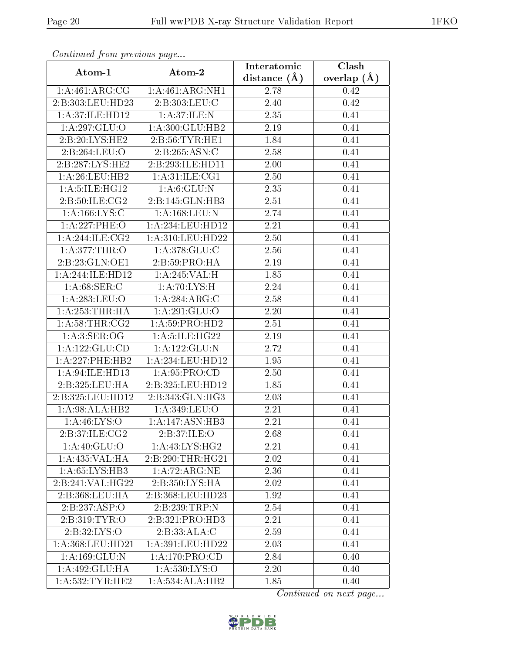| Continuati prom pretious page |                            | Interatomic    | Clash           |
|-------------------------------|----------------------------|----------------|-----------------|
| Atom-1                        | Atom-2                     | distance $(A)$ | overlap $(\AA)$ |
| 1: A:461:ARG:CG               | 1:A:461:ARG:NH1            | 2.78           | 0.42            |
| 2:B:303:LEU:HD23              | 2:B:303:LEU:C              | 2.40           | 0.42            |
| 1: A:37: ILE: HD12            | 1: A:37: ILE:N             | 2.35           | 0.41            |
| 1:A:297:GLU:O                 | 1:A:300:GLU:HB2            | 2.19           | 0.41            |
| 2:B:20:LYS:HE2                | 2:B:56:TYR:HE1             | 1.84           | 0.41            |
| 2:B:264:LEU:O                 | $2:B:265:ASN:\overline{C}$ | 2.58           | 0.41            |
| 2:B:287:LYS:HE2               | 2:B:293:ILE:HD11           | 2.00           | 0.41            |
| 1:A:26:LEU:HB2                | 1: A:31: ILE: CG1          | 2.50           | 0.41            |
| 1:A:5:ILE:HG12                | 1: A:6: GLU: N             | 2.35           | 0.41            |
| 2:B:50:ILE:CG2                | 2:B:145:GLN:HB3            | 2.51           | 0.41            |
| 1: A: 166: LYS:C              | 1:A:168:LEU:N              | 2.74           | 0.41            |
| 1:A:227:PHE:O                 | 1:A:234:LEU:HD12           | 2.21           | 0.41            |
| 1: A:244: ILE: CG2            | 1:A:310:LEU:HD22           | 2.50           | 0.41            |
| 1: A:377:THR:O                | 1:A:378:GLU:C              | 2.56           | 0.41            |
| 2:B:23:GLN:OE1                | 2:B:59:PRO:HA              | 2.19           | 0.41            |
| 1:A:244:ILE:HD12              | 1:A:245:VAL:H              | 1.85           | 0.41            |
| 1: A:68: SER: C               | 1: A:70: LYS:H             | 2.24           | 0.41            |
| 1: A:283:LEU:O                | 1: A:284:ARG:C             | 2.58           | 0.41            |
| 1: A:253:THR:HA               | 1:A:291:GLU:O              | 2.20           | 0.41            |
| 1: A:58:THR:CG2               | 1:A:59:PRO:HD2             | 2.51           | 0.41            |
| 1: A:3: SER:OG                | 1:A:5:ILE:HG22             | 2.19           | 0.41            |
| 1:A:122:GLU:CD                | $1:A:122:\overline{GLU:N}$ | 2.72           | 0.41            |
| 1:A:227:PHE:HB2               | 1:A:234:LEU:HD12           | 1.95           | 0.41            |
| 1:A:94:ILE:HD13               | 1: A:95: PRO:CD            | 2.50           | 0.41            |
| 2:B:325:LEU:HA                | 2:B:325:LEU:HD12           | 1.85           | 0.41            |
| 2:B:325:LEU:HD12              | 2:B:343:GLN:HG3            | 2.03           | 0.41            |
| 1:A:98:ALA:HB2                | 1: A:349: LEU:O            | 2.21           | 0.41            |
| 1:A:46:LYS:O                  | 1:A:147:ASN:HB3            | 2.21           | 0.41            |
| 2:B:37:ILE:CG2                | 2: B:37: ILE: O            | 2.68           | 0.41            |
| 1: A:40: GLU:O                | 1: A:43: LYS:HG2           | 2.21           | 0.41            |
| 1:A:435:VAL:HA                | 2:B:290:THR:HG21           | 2.02           | 0.41            |
| 1:A:65:LYS:HB3                | 1:A:72:ARG:NE              | 2.36           | 0.41            |
| 2:B:241:VAL:HG22              | 2:B:350:LYS:HA             | 2.02           | 0.41            |
| 2:B:368:LEU:HA                | 2:B:368:LEU:HD23           | 1.92           | 0.41            |
| 2:B:237:ASP:O                 | 2:B:239:TRP:N              | 2.54           | 0.41            |
| 2:B:319:TYR:O                 | 2:B:321:PRO:HD3            | 2.21           | 0.41            |
| 2: B:32: LYS:O                | 2:B:33:ALA:C               | 2.59           | 0.41            |
| 1:A:368:LEU:HD21              | 1:A:391:LEU:HD22           | 2.03           | 0.41            |
| 1: A: 169: GLU:N              | 1: A:170: PRO:CD           | 2.84           | 0.40            |
| 1:A:492:GLU:HA                | 1: A: 530: LYS:O           | 2.20           | 0.40            |
| 1: A: 532: TYR: HE2           | 1:A:534:ALA:HB2            | 1.85           | 0.40            |

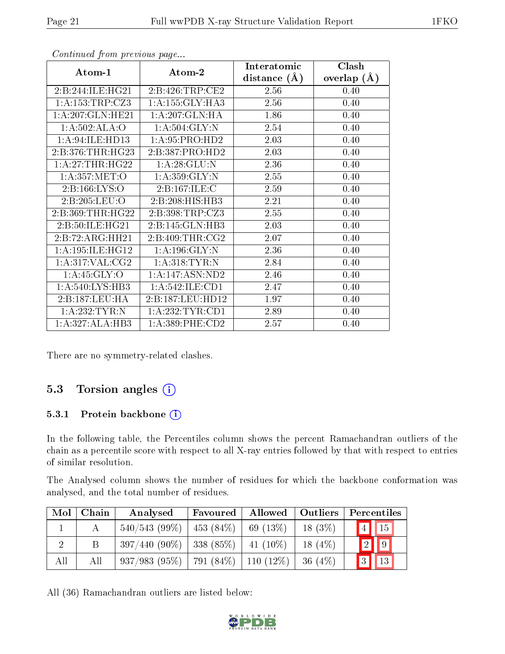|                    |                     | Interatomic    | Clash           |
|--------------------|---------------------|----------------|-----------------|
| Atom-1             | Atom-2              | distance $(A)$ | overlap $(\AA)$ |
| 2:B:244:ILE:HG21   | 2:B:426:TRP:CE2     | 2.56           | 0.40            |
| 1:A:153:TRP:CZ3    | 1: A: 155: GLY: HA3 | 2.56           | 0.40            |
| 1:A:207:GLN:HE21   | 1: A:207: GLN: HA   | 1.86           | 0.40            |
| 1:A:502:ALA:O      | 1: A:504: GLY:N     | 2.54           | 0.40            |
| 1: A:94: ILE: HD13 | 1:A:95:PRO:HD2      | 2.03           | 0.40            |
| 2:B:376:THR:HG23   | 2:B:387:PRO:HD2     | 2.03           | 0.40            |
| 1:A:27:THR:HG22    | 1:A:28:GLU:N        | 2.36           | 0.40            |
| 1: A:357: MET:O    | 1: A: 359: GLY:N    | 2.55           | 0.40            |
| 2:B:166:LYS:O      | 2:B:167:ILE:C       | 2.59           | 0.40            |
| 2:B:205:LEU:O      | 2:B:208:HIS:HB3     | 2.21           | 0.40            |
| 2:B:369:THR:HG22   | 2: B:398: TRP: CZ3  | 2.55           | 0.40            |
| 2:B:50:ILE:HG21    | 2:B:145:GLN:HB3     | 2.03           | 0.40            |
| 2:B:72:ARG:HH21    | 2: B:409: THR:CG2   | 2.07           | 0.40            |
| 1:A:195:ILE:HG12   | 1:A:196:GLY:N       | 2.36           | 0.40            |
| 1: A:317: VAL: CG2 | 1: A:318: TYR: N    | 2.84           | 0.40            |
| 1: A:45: GLY:O     | 1:A:147:ASN:ND2     | 2.46           | 0.40            |
| 1:A:540:LYS:HB3    | 1: A:542: ILE: CD1  | 2.47           | 0.40            |
| 2:B:187:LEU:HA     | 2:B:187:LEU:HD12    | 1.97           | 0.40            |
| 1:A:232:TYR:N      | 1:A:232:TYR:CD1     | 2.89           | 0.40            |
| 1:A:327:ALA:HB3    | 1: A: 389: PHE: CD2 | 2.57           | 0.40            |

There are no symmetry-related clashes.

### 5.3 Torsion angles (i)

#### 5.3.1 Protein backbone (i)

In the following table, the Percentiles column shows the percent Ramachandran outliers of the chain as a percentile score with respect to all X-ray entries followed by that with respect to entries of similar resolution.

The Analysed column shows the number of residues for which the backbone conformation was analysed, and the total number of residues.

| Mol | Chain | Analysed                                         | Favoured           |               | Allowed   Outliers | Percentiles                    |
|-----|-------|--------------------------------------------------|--------------------|---------------|--------------------|--------------------------------|
|     | А     | $540/543(99\%)$                                  | 453 (84\%) $\vert$ | $  69 (13\%)$ | $18(3\%)$          | $\vert 4 \vert \vert 15 \vert$ |
|     |       | $397/440$ (90\%)   338 (85\%)                    |                    | $41(10\%)$    | $18(4\%)$          | $\boxed{9}$<br>$\sqrt{2}$      |
| All | All   | $937/983$ $(95\%)$   791 $(84\%)$   110 $(12\%)$ |                    |               | 36 (4\%)           | $\sqrt{13}$<br>3               |

All (36) Ramachandran outliers are listed below:

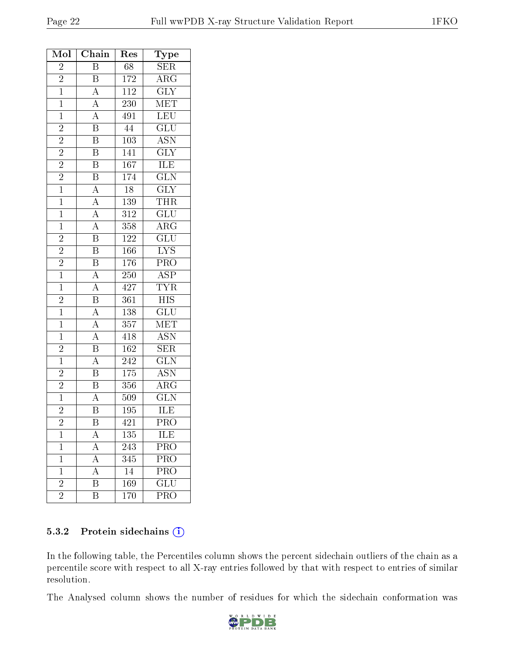| Mol            | Chain                                                                                                                                           | Res              | Type                            |
|----------------|-------------------------------------------------------------------------------------------------------------------------------------------------|------------------|---------------------------------|
| $\overline{2}$ | $\overline{\mathrm{B}}$                                                                                                                         | $\overline{68}$  | $\overline{\text{SER}}$         |
| $\frac{2}{1}$  |                                                                                                                                                 | 172              | $\rm{ARG}$                      |
|                | $\frac{\overline{B}}{A}$                                                                                                                        | $\overline{112}$ | $\overline{\text{GLY}}$         |
| $\overline{1}$ |                                                                                                                                                 | <b>230</b>       | $\overline{\text{MET}}$         |
| $\mathbf{1}$   |                                                                                                                                                 | 491              | LEU                             |
| $\overline{2}$ | $\frac{\overline{A}}{\overline{A}}$ $\frac{\overline{B}}{\overline{B}}$                                                                         | $\overline{44}$  | $\overline{\text{GLU}}$         |
| $\overline{2}$ |                                                                                                                                                 | $\overline{103}$ | $\overline{ASN}$                |
| $\overline{2}$ | $\overline{B}$                                                                                                                                  | 141              | $\overline{\text{GLY}}$         |
| $\overline{2}$ | $\overline{B}$                                                                                                                                  | 167              | ILE                             |
| $\frac{2}{1}$  | $\frac{\overline{B}}{A}$                                                                                                                        | 174              | $\overline{\text{GLN}}$         |
|                |                                                                                                                                                 | $\overline{18}$  | $\overline{\text{GLY}}$         |
| $\overline{1}$ | $\frac{\overline{A}}{\overline{A}}$ $\frac{\overline{A}}{\overline{B}}$ $\frac{\overline{B}}{\overline{B}}$                                     | 139              | $\overline{\text{THR}}$         |
| $\overline{1}$ |                                                                                                                                                 | $\overline{312}$ | $\overline{\text{GLU}}$         |
| $\overline{1}$ |                                                                                                                                                 | $\overline{358}$ | $\overline{\text{ARG}}$         |
| $\overline{2}$ |                                                                                                                                                 | $122\,$          | $\overline{\mathrm{GLU}}$       |
| $\overline{2}$ |                                                                                                                                                 | 166              | $\overline{\text{LYS}}$         |
| $\overline{2}$ | $\overline{\text{B}}$                                                                                                                           | 176              | $\overline{\text{PRO}}$         |
| $\overline{1}$ | $\overline{A}$                                                                                                                                  | $\overline{250}$ | $\overline{\text{ASP}}$         |
| $\overline{1}$ | $\frac{\overline{A}}{\overline{B}}$                                                                                                             | 427              | $\frac{\text{TYR}}{\text{HIS}}$ |
| $\overline{2}$ |                                                                                                                                                 | $\overline{361}$ |                                 |
| $\overline{1}$ |                                                                                                                                                 | 138              | $\overline{\text{GLU}}$         |
| $\overline{1}$ | $\frac{\overline{A}}{\overline{A}}$ $\frac{\overline{A}}{\overline{B}}$ $\frac{\overline{B}}{\overline{A}}$ $\frac{\overline{B}}{\overline{A}}$ | $\overline{357}$ | $\overline{\text{MET}}$         |
| $\overline{1}$ |                                                                                                                                                 | $\overline{418}$ | $\overline{\text{ASN}}$         |
| $\overline{c}$ |                                                                                                                                                 | 162              | SER                             |
| $\mathbf{1}$   |                                                                                                                                                 | 242              | $\overline{\text{GLN}}$         |
| $\bar{2}$      |                                                                                                                                                 | 175              | $\overline{\text{ASN}}$         |
| $\frac{2}{1}$  |                                                                                                                                                 | 356              | $\overline{\rm{ARG}}$           |
|                |                                                                                                                                                 | $\overline{50}9$ | $\overline{\text{GLN}}$         |
| $\overline{2}$ | $\overline{\mathrm{B}}$                                                                                                                         | 195              | ILE                             |
| $\overline{2}$ | Β                                                                                                                                               | 421              | $\overline{\text{PRO}}$         |
| $\mathbf 1$    | A                                                                                                                                               | 135              | ILE                             |
| $\mathbf 1$    | $\overline{A}$                                                                                                                                  | 243              | PRO                             |
| $\mathbf 1$    | $\overline{A}$                                                                                                                                  | 345              | $\overline{\text{PRO}}$         |
| $\mathbf 1$    | $\overline{\rm A}$                                                                                                                              | 14               | PRO                             |
| $\overline{2}$ | $\overline{\mathrm{B}}$                                                                                                                         | 169              | $\overline{\text{GLU}}$         |
| $\overline{2}$ | Β                                                                                                                                               | 170              | PRO                             |

#### 5.3.2 Protein sidechains (i)

In the following table, the Percentiles column shows the percent sidechain outliers of the chain as a percentile score with respect to all X-ray entries followed by that with respect to entries of similar resolution.

The Analysed column shows the number of residues for which the sidechain conformation was

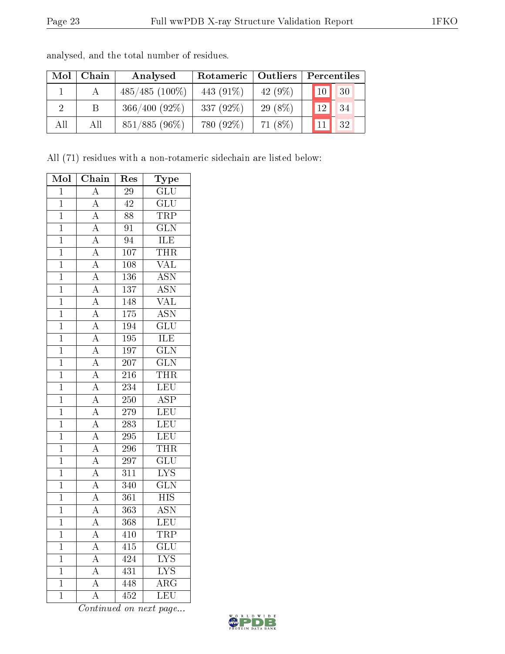| Mol | Chain | Analysed         | Rotameric  <br><b>Outliers</b> |            | Percentiles           |  |  |
|-----|-------|------------------|--------------------------------|------------|-----------------------|--|--|
|     |       | $485/485(100\%)$ | 443 $(91\%)$                   | 42 $(9\%)$ | 30<br>10 <sup>1</sup> |  |  |
| 2   | B     | $366/400(92\%)$  | 337 $(92\%)$                   | $29(8\%)$  | 34<br>12 <sub>1</sub> |  |  |
| All | All   | $851/885(96\%)$  | 780 (92%)                      | $71(8\%)$  | 32                    |  |  |

analysed, and the total number of residues.

All (71) residues with a non-rotameric sidechain are listed below:

| $\overline{\text{Mol}}$ | Chain              | Res              | Type                      |
|-------------------------|--------------------|------------------|---------------------------|
| $\mathbf 1$             | $\overline{\rm A}$ | $\overline{29}$  | GLU                       |
| $\mathbf{1}$            | $\overline{\rm A}$ | $\overline{42}$  | GLU                       |
| $\bar{1}$               | $\overline{\rm A}$ | $\overline{88}$  | <b>TRP</b>                |
| $\mathbf{1}$            | $\overline{A}$     | $\overline{91}$  | $\overline{\text{GLN}}$   |
| $\overline{1}$          | $\overline{A}$     | $\overline{94}$  | <b>ILE</b>                |
| $\overline{1}$          | $\overline{A}$     | 107              | <b>THR</b>                |
| $\overline{1}$          | $\overline{A}$     | 108              | $\overline{\text{VAL}}$   |
| $\overline{1}$          | $\overline{A}$     | 136              | $\overline{\mathrm{ASN}}$ |
| $\mathbf{1}$            | $\overline{\rm A}$ | 137              | $\overline{\mathrm{ASN}}$ |
| $\overline{1}$          | $\overline{A}$     | 148              | $\overline{\text{VAL}}$   |
| $\overline{1}$          | $\overline{A}$     | $\overline{175}$ | <b>ASN</b>                |
| $\overline{1}$          | $\overline{A}$     | 194              | $\overline{\text{GLU}}$   |
| $\overline{1}$          | $\overline{A}$     | $\overline{195}$ | <b>ILE</b>                |
| $\overline{1}$          | $\overline{A}$     | $\overline{197}$ | $\overline{\text{GLN}}$   |
| $\mathbf{1}$            | $\overline{\rm A}$ | 207              | $\overline{\text{GLN}}$   |
| $\mathbf{1}$            | $\overline{\rm A}$ | 216              | <b>THR</b>                |
| $\overline{1}$          | $\overline{\rm A}$ | $\overline{234}$ | $\overline{\text{LEU}}$   |
| $\overline{1}$          | $\overline{A}$     | $\overline{250}$ | $\overline{\text{ASP}}$   |
| $\overline{1}$          | $\overline{A}$     | $\overline{279}$ | $\overline{\text{LEU}}$   |
| $\overline{1}$          | $\overline{A}$     | $\overline{283}$ | LEU                       |
| $\overline{1}$          | $\overline{A}$     | $\overline{295}$ | LEU                       |
| $\overline{1}$          | $\overline{\rm A}$ | $\overline{296}$ | THR                       |
| $\overline{1}$          | $\overline{\rm A}$ | 297              | $\overline{\text{GLU}}$   |
| $\overline{1}$          | $\overline{A}$     | $\overline{311}$ | $\overline{\text{LYS}}$   |
| $\overline{1}$          | $\overline{A}$     | $\overline{340}$ | $\overline{\text{GLN}}$   |
| $\overline{1}$          | $\overline{A}$     | $\overline{361}$ | $\overline{\mathrm{HIS}}$ |
| $\overline{1}$          | $\overline{A}$     | $\overline{363}$ | <b>ASN</b>                |
| $\overline{1}$          | $\overline{A}$     | 368              | LEU                       |
| $\mathbf 1$             | $\boldsymbol{A}$   | 410              | $\overline{\text{TRP}}$   |
| $\overline{1}$          | $\overline{\rm A}$ | $\overline{415}$ | $\overline{{\rm GLU}}$    |
| $\overline{1}$          | $\overline{\rm A}$ | 424              | $\overline{\text{LYS}}$   |
| $\overline{1}$          | $\overline{A}$     | 431              | $\overline{\text{LYS}}$   |
| $\overline{1}$          | $\overline{\rm A}$ | 448              | $\overline{\rm{ARG}}$     |
| $\overline{1}$          | $\overline{\rm A}$ | $\overline{452}$ | $\overline{\text{LEU}}$   |

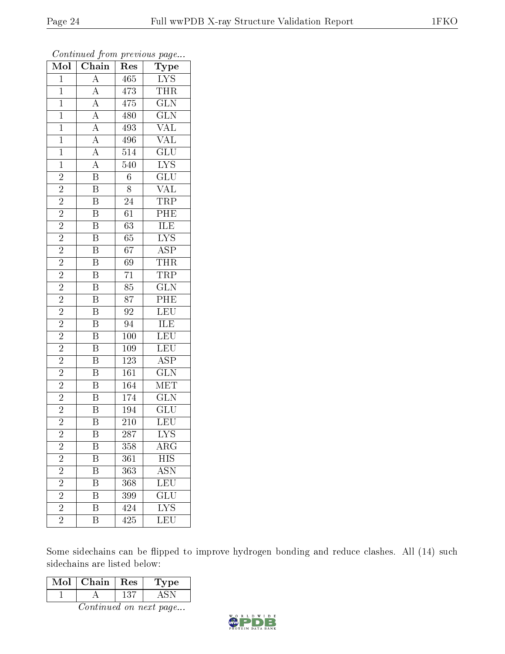| Mol            | $\overline{\text{C}}$ hain                                              | ${\mathop{\mathrm{Res}}\nolimits}$ | Type                               |
|----------------|-------------------------------------------------------------------------|------------------------------------|------------------------------------|
| $\overline{1}$ | $\overline{A}$                                                          | 465                                | IYS                                |
| $\mathbf{1}$   | $\overline{A}$                                                          | 473                                | THR                                |
| $\overline{1}$ |                                                                         | 475                                | $\overline{\text{GLN}}$            |
| $\mathbf{1}$   |                                                                         | 480                                | $\overline{{\rm GLN}}$             |
| $\mathbf{1}$   |                                                                         | $\overline{493}$                   | $\overline{\text{VAL}}$            |
| $\mathbf{1}$   | $\frac{\overline{A}}{\overline{A}}$ $\frac{\overline{A}}{\overline{A}}$ | 496                                | $\overline{\text{VAL}}$            |
| $\overline{1}$ | $\frac{1}{\mathbf{A}}$                                                  | $\overline{514}$                   | $\overline{\text{GLU}}$            |
| $\mathbf{1}$   | $\overline{A}$                                                          | 540                                | $1$                                |
| $\overline{c}$ | $\overline{\mathbf{B}}$                                                 | $\overline{6}$                     | $\overline{\text{GLU}}$            |
| $\overline{2}$ | $\overline{\mathbf{B}}$                                                 | $\overline{8}$                     | <b>VAL</b>                         |
| $\overline{2}$ | $\overline{\mathrm{B}}$                                                 | 24                                 | <b>TRP</b>                         |
| $\overline{2}$ | $\overline{\mathrm{B}}$                                                 | $\overline{61}$                    | $\overline{\text{PHE}}$            |
| $\overline{2}$ | $\overline{\mathbf{B}}$                                                 | $\overline{63}$                    | $\overline{\text{ILE}}$            |
| $\frac{2}{2}$  | $\overline{\mathbf{B}}$                                                 | 65                                 | $\overline{\text{LYS}}$            |
|                | $\overline{\mathrm{B}}$                                                 | $\overline{67}$                    | $\overline{\text{ASP}}$            |
| $\overline{2}$ | $\overline{\mathrm{B}}$                                                 | 69                                 | <b>THR</b>                         |
| $\overline{2}$ | $\overline{\mathrm{B}}$                                                 | $\overline{71}$                    | TRP                                |
| $\overline{c}$ | $\overline{\mathrm{B}}$                                                 | 85                                 | $\overline{\text{GLN}}$            |
| $\overline{2}$ | $\overline{\mathbf{B}}$                                                 | $\overline{87}$                    | PHE                                |
| $\overline{2}$ | $\overline{\mathrm{B}}$                                                 | $\overline{92}$                    | LEU                                |
| $\overline{2}$ | $\overline{\mathbf{B}}$                                                 | 94                                 | <b>ILE</b>                         |
| $\overline{2}$ | $\overline{\mathrm{B}}$                                                 | $\overline{100}$                   | LEU                                |
| $\overline{c}$ | $\, {\bf B}$                                                            | 109                                | LEU                                |
| $\overline{2}$ | $\overline{\mathrm{B}}$                                                 | $\overline{123}$                   | $\overline{\text{ASP}}$            |
| $\overline{2}$ | $\overline{\mathbf{B}}$                                                 | 161                                | $\overline{\text{GLN}}$            |
| $\overline{2}$ | $\overline{\mathrm{B}}$                                                 | 164                                | MET                                |
| $\overline{2}$ | $\overline{\mathbf{B}}$                                                 | 174                                | $\overline{\text{GLN}}$            |
| $\overline{2}$ | $\overline{\mathrm{B}}$                                                 | 194                                | $\overline{\text{GLU}}$            |
| $\overline{2}$ | $\overline{\mathrm{B}}$                                                 | $\overline{210}$                   | $\overline{\text{LEU}}$            |
| $\overline{2}$ | B                                                                       | 287                                | $\overline{\text{LYS}}$            |
| $\overline{2}$ | Β                                                                       | 358                                | $\mathrm{AR}\overline{\mathrm{G}}$ |
| $\overline{2}$ | $\overline{\mathrm{B}}$                                                 | 361                                | <b>HIS</b>                         |
| $\frac{2}{2}$  | $\overline{\mathrm{B}}$                                                 | 363                                | ASN                                |
|                | $\overline{\mathrm{B}}$                                                 | 368                                | $\overline{\text{LEU}}$            |
| $\overline{2}$ | $\overline{\mathrm{B}}$                                                 | 399                                | $\overline{\text{GLU}}$            |
| $\overline{2}$ | $\overline{\mathrm{B}}$                                                 | 424                                | $\overline{\text{LYS}}$            |
| $\overline{2}$ | $\overline{\mathrm{B}}$                                                 | 425                                | $\overline{\text{LEU}}$            |

Some sidechains can be flipped to improve hydrogen bonding and reduce clashes. All (14) such sidechains are listed below:

| Mol | Chain | Res | 1'ype |
|-----|-------|-----|-------|
|     |       | 131 |       |

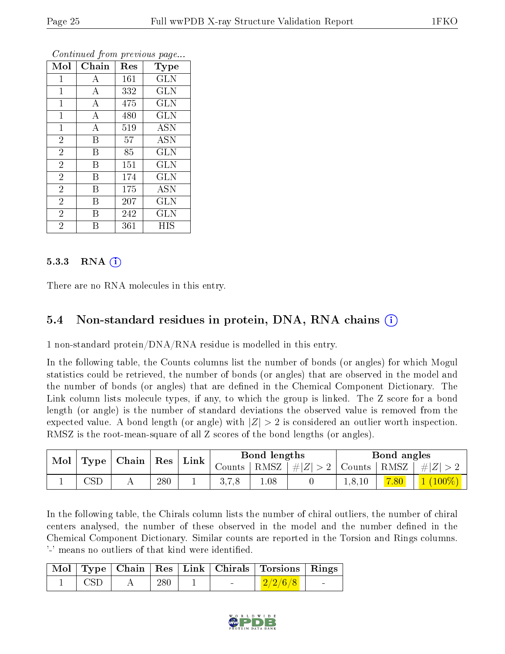| Mol            | ${\rm Chain}$    | Res | Type       |
|----------------|------------------|-----|------------|
| 1              | А                | 161 | <b>GLN</b> |
| 1              | A                | 332 | GLN        |
| $\mathbf{1}$   | $\boldsymbol{A}$ | 475 | GLN        |
| $\mathbf 1$    | A                | 480 | <b>GLN</b> |
| $\mathbf{1}$   | A                | 519 | <b>ASN</b> |
| $\overline{2}$ | B                | 57  | <b>ASN</b> |
| $\overline{2}$ | B                | 85  | <b>GLN</b> |
| $\overline{2}$ | B                | 151 | <b>GLN</b> |
| $\overline{2}$ | Β                | 174 | <b>GLN</b> |
| $\overline{2}$ | Β                | 175 | <b>ASN</b> |
| $\overline{2}$ | B                | 207 | GLN        |
| $\overline{2}$ | В                | 242 | GLN        |
| $\overline{2}$ | В                | 361 | НIS        |

#### 5.3.3 RNA (1)

There are no RNA molecules in this entry.

#### 5.4 Non-standard residues in protein, DNA, RNA chains (i)

1 non-standard protein/DNA/RNA residue is modelled in this entry.

In the following table, the Counts columns list the number of bonds (or angles) for which Mogul statistics could be retrieved, the number of bonds (or angles) that are observed in the model and the number of bonds (or angles) that are defined in the Chemical Component Dictionary. The Link column lists molecule types, if any, to which the group is linked. The Z score for a bond length (or angle) is the number of standard deviations the observed value is removed from the expected value. A bond length (or angle) with  $|Z| > 2$  is considered an outlier worth inspection. RMSZ is the root-mean-square of all Z scores of the bond lengths (or angles).

| Mol | Type                    | Chain |                   | Link     |        | Bond lengths |         |        | Bond angles |          |
|-----|-------------------------|-------|-------------------|----------|--------|--------------|---------|--------|-------------|----------|
|     |                         |       | $\mid$ Res $\mid$ |          | Counts | RMSZ         | $\# Z $ | Counts | ' RMSZ      | $\# Z >$ |
|     | $\mathbb{C}\mathrm{SD}$ | A     | 280               | <b>.</b> | 3.7,8  | 1.08         |         |        | 7.80        | $100\%$  |

In the following table, the Chirals column lists the number of chiral outliers, the number of chiral centers analysed, the number of these observed in the model and the number defined in the Chemical Component Dictionary. Similar counts are reported in the Torsion and Rings columns. '-' means no outliers of that kind were identified.

|      |     |        | Mol   Type   Chain   Res   Link   Chirals   Torsions   Rings |  |
|------|-----|--------|--------------------------------------------------------------|--|
| -CSD | 280 | $\sim$ | $\frac{2}{2}/\frac{2}{6}$ /8                                 |  |

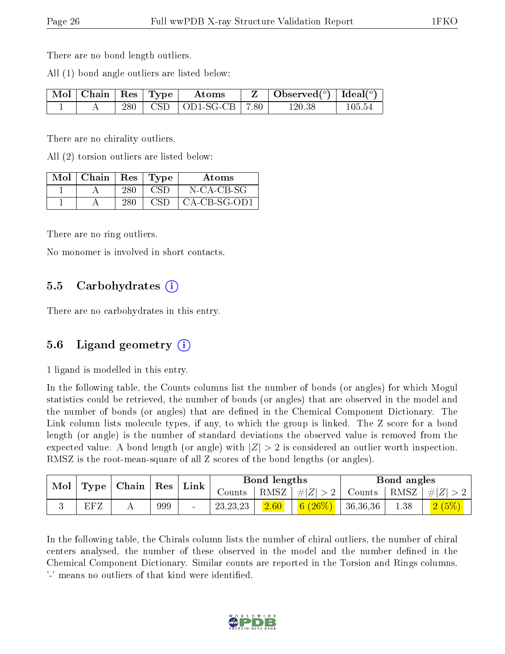There are no bond length outliers.

All (1) bond angle outliers are listed below:

| $\vert$ Mol $\vert$ Chain $\vert$ Res $\vert$ Type |     | Atoms                           | $\mid$ Observed $(^\circ)$   Ideal $(^\circ)$ |        |
|----------------------------------------------------|-----|---------------------------------|-----------------------------------------------|--------|
|                                                    | 280 | $\text{CSD}$   OD1-SG-CB   7.80 | 120.38                                        | 105.54 |

There are no chirality outliers.

All (2) torsion outliers are listed below:

| Mol | Chain | $\operatorname{Res}$ | Tvpe | Atoms          |
|-----|-------|----------------------|------|----------------|
|     |       | 280                  |      | N-CA-CB-SG     |
|     |       |                      | CSE  | $CA-CB-SG-OD1$ |

There are no ring outliers.

No monomer is involved in short contacts.

### 5.5 Carbohydrates  $(i)$

There are no carbohydrates in this entry.

### 5.6 Ligand geometry  $(i)$

1 ligand is modelled in this entry.

In the following table, the Counts columns list the number of bonds (or angles) for which Mogul statistics could be retrieved, the number of bonds (or angles) that are observed in the model and the number of bonds (or angles) that are defined in the Chemical Component Dictionary. The Link column lists molecule types, if any, to which the group is linked. The Z score for a bond length (or angle) is the number of standard deviations the observed value is removed from the expected value. A bond length (or angle) with  $|Z| > 2$  is considered an outlier worth inspection. RMSZ is the root-mean-square of all Z scores of the bond lengths (or angles).

| Mol |     | $\mid$ Type $\mid$ Chain $\mid$ |     |  |            |          |                                                                                   |                | $\mid$ $\operatorname{Res}$ | $^{\mathrm{+}}$ Link | Bond lengths |  |  | Bond angles |  |  |
|-----|-----|---------------------------------|-----|--|------------|----------|-----------------------------------------------------------------------------------|----------------|-----------------------------|----------------------|--------------|--|--|-------------|--|--|
|     |     |                                 |     |  | Counts     | † RMSZ ∣ | $\left  \#Z \right  > 2$ Counts $\left  \text{ RMSZ} \right  \# \left  Z \right $ |                |                             |                      |              |  |  |             |  |  |
|     | EFZ |                                 | 999 |  | 23, 23, 23 | 2.60     | (6 (26%)                                                                          | $\pm 36,36,36$ | 1.38                        |                      |              |  |  |             |  |  |

In the following table, the Chirals column lists the number of chiral outliers, the number of chiral centers analysed, the number of these observed in the model and the number defined in the Chemical Component Dictionary. Similar counts are reported in the Torsion and Rings columns. '-' means no outliers of that kind were identified.

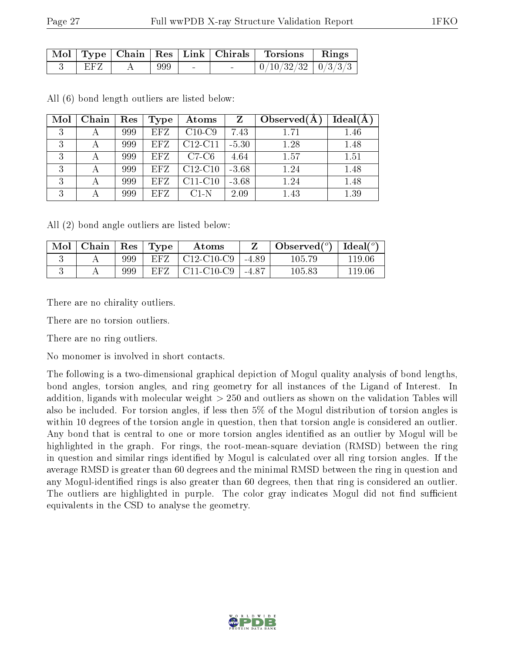|     |     |                | $\forall$ Mol   Type   Chain   Res   Link   Chirals   Torsions   Rings |  |
|-----|-----|----------------|------------------------------------------------------------------------|--|
| EFZ | 999 | <b>Service</b> | $\mid 0/10/32/32 \mid 0/3/3/3 \mid$                                    |  |

| Mol | Chain | Res | Type       | Atoms     | $Z_{\rm}$ | Observed $(A)$ | $Ideal(\AA)$ |
|-----|-------|-----|------------|-----------|-----------|----------------|--------------|
| 3   |       | 999 | <b>EFZ</b> | $C10-C9$  | 7.43      | 1.71           | 1.46         |
| 3   |       | 999 | <b>EFZ</b> | $C12-C11$ | $-5.30$   | 1.28           | 1.48         |
| 3   |       | 999 | <b>EFZ</b> | $C7-C6$   | 4.64      | 1.57           | 1.51         |
| 3   |       | 999 | <b>EFZ</b> | $C12-C10$ | $-3.68$   | 1.24           | 1.48         |
| 3   |       | 999 | <b>EFZ</b> | $C11-C10$ | $-3.68$   | 1.24           | 1.48         |
| 3   |       | 999 | <b>EFZ</b> | $C1-N$    | 2.09      | 1.43           | 1.39         |

All (6) bond length outliers are listed below:

All (2) bond angle outliers are listed below:

| Mol | Chain   Res   Type |     |      | Atoms                                            |         | Observed $(^\circ)$ | $\text{Ideal}({}^o)$ |
|-----|--------------------|-----|------|--------------------------------------------------|---------|---------------------|----------------------|
|     |                    | 999 | EFZ. | $C12-C10-C9$                                     | $-4.89$ | 105.79              | 119.06               |
|     |                    | 999 | EFZ. | C <sub>11</sub> -C <sub>10</sub> -C <sub>9</sub> | $-4.87$ | $105.83\,$          | 119.06               |

There are no chirality outliers.

There are no torsion outliers.

There are no ring outliers.

No monomer is involved in short contacts.

The following is a two-dimensional graphical depiction of Mogul quality analysis of bond lengths, bond angles, torsion angles, and ring geometry for all instances of the Ligand of Interest. In addition, ligands with molecular weight > 250 and outliers as shown on the validation Tables will also be included. For torsion angles, if less then 5% of the Mogul distribution of torsion angles is within 10 degrees of the torsion angle in question, then that torsion angle is considered an outlier. Any bond that is central to one or more torsion angles identified as an outlier by Mogul will be highlighted in the graph. For rings, the root-mean-square deviation (RMSD) between the ring in question and similar rings identified by Mogul is calculated over all ring torsion angles. If the average RMSD is greater than 60 degrees and the minimal RMSD between the ring in question and any Mogul-identified rings is also greater than 60 degrees, then that ring is considered an outlier. The outliers are highlighted in purple. The color gray indicates Mogul did not find sufficient equivalents in the CSD to analyse the geometry.

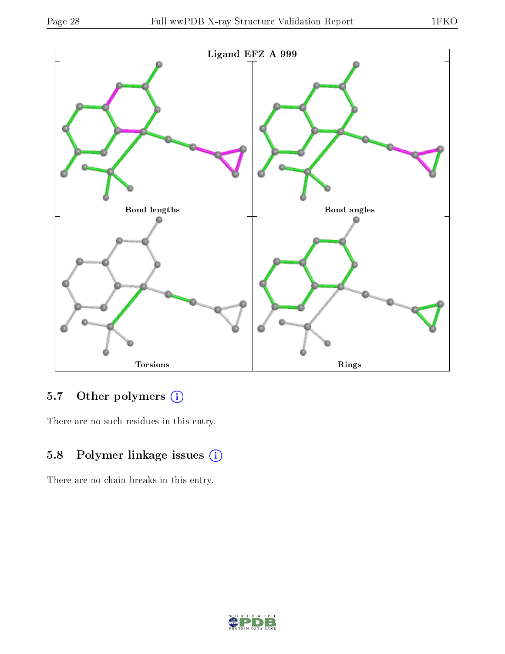

### 5.7 [O](https://www.wwpdb.org/validation/2017/XrayValidationReportHelp#nonstandard_residues_and_ligands)ther polymers (i)

There are no such residues in this entry.

## 5.8 Polymer linkage issues (i)

There are no chain breaks in this entry.

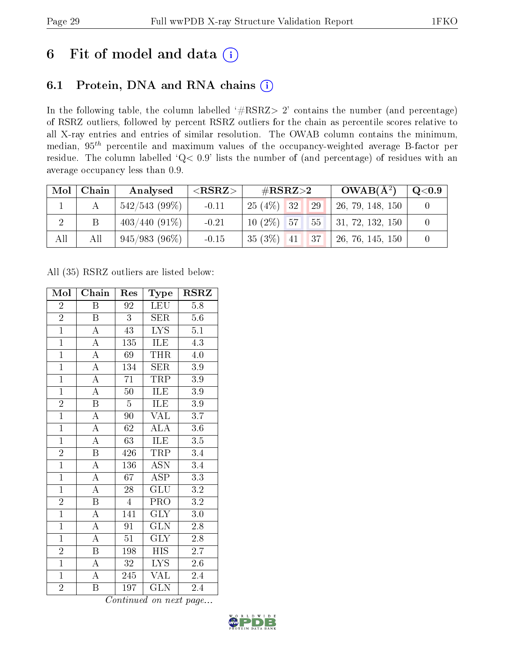# 6 Fit of model and data  $(i)$

## 6.1 Protein, DNA and RNA chains  $(i)$

In the following table, the column labelled  $#RSRZ> 2'$  contains the number (and percentage) of RSRZ outliers, followed by percent RSRZ outliers for the chain as percentile scores relative to all X-ray entries and entries of similar resolution. The OWAB column contains the minimum, median,  $95<sup>th</sup>$  percentile and maximum values of the occupancy-weighted average B-factor per residue. The column labelled ' $Q< 0.9$ ' lists the number of (and percentage) of residues with an average occupancy less than 0.9.

| Mol            | Chain | Analysed        | ${ <\hspace{-1.5pt}{\mathrm{RSRZ}} \hspace{-1.5pt}>}$ | # $RSRZ>2$            | $OWAB(A^2)$      | $\rm Q\textcolor{black}{<}0.9$ |
|----------------|-------|-----------------|-------------------------------------------------------|-----------------------|------------------|--------------------------------|
|                |       | $542/543(99\%)$ | $-0.11$                                               | 25(4%)<br>132<br>29   | 26, 79, 148, 150 |                                |
| $\overline{2}$ |       | $403/440(91\%)$ | $-0.21$                                               | $10(2\%)$<br>57<br>55 | 31, 72, 132, 150 |                                |
| All            | All   | $945/983(96\%)$ | $-0.15$                                               | 35(3%)<br>37<br>41    | 26, 76, 145, 150 |                                |

All (35) RSRZ outliers are listed below:

| Mol            | Chain                   | Res                         | Type                       | $\rm \bf{RSRZ}$  |
|----------------|-------------------------|-----------------------------|----------------------------|------------------|
| $\overline{2}$ | B                       | 92                          | LEU                        | 5.8              |
| $\overline{2}$ | B                       | 3                           | <b>SER</b>                 | $5.6\,$          |
| $\overline{1}$ | $\overline{A}$          | 43                          | $\overline{\text{LYS}}$    | $5.1\,$          |
| $\overline{1}$ | $\overline{\rm A}$      | 135                         | ILE                        | 4.3              |
| $\overline{1}$ | $\overline{\rm A}$      | 69                          | <b>THR</b>                 | 4.0              |
| $\overline{1}$ | $\overline{\rm A}$      | 134                         | <b>SER</b>                 | 3.9              |
| $\overline{1}$ | $\overline{\rm A}$      | $\overline{71}$             | TRP                        | $\overline{3}.9$ |
| $\overline{1}$ | $\overline{A}$          | 50                          | ILE                        | 3.9              |
| $\overline{2}$ | $\overline{\mathrm{B}}$ | $\overline{5}$              | ILE                        | $3.9\,$          |
| $\overline{1}$ | $\overline{A}$          | 90                          | $\overline{\text{VAL}}$    | $\overline{3.7}$ |
| $\overline{1}$ | $\overline{\rm A}$      | 62                          | $\overline{\text{ALA}}$    | $3.6\,$          |
| $\overline{1}$ | $\overline{\rm A}$      | $\overline{63}$             | ILE                        | $\overline{3.5}$ |
| $\overline{2}$ | $\overline{\mathrm{B}}$ | 426                         | <b>TRP</b>                 | 3.4              |
| $\overline{1}$ | $\boldsymbol{A}$        | 136                         | $\overline{\text{ASN}}$    | $\overline{3.4}$ |
| $\overline{1}$ | $\overline{A}$          | $\overline{67}$             | $\overline{\text{ASP}}$    | $\overline{3.3}$ |
| $\overline{1}$ | $\overline{\rm A}$      | 28                          | $\overline{{\rm GLU}}$     | $\overline{3.2}$ |
| $\overline{2}$ | $\overline{\mathrm{B}}$ | $\overline{4}$              | $\overline{\text{PRO}}$    | $\overline{3.2}$ |
| $\overline{1}$ | $\boldsymbol{A}$        | 141                         | <b>GLY</b>                 | $3.0\,$          |
| $\overline{1}$ | $\overline{\rm A}$      | $\overline{91}$             | $\overline{\text{GLN}}$    | 2.8              |
| $\overline{1}$ | $\overline{\rm A}$      | $51\,$                      | $\overline{\text{GLY}}$    | 2.8              |
| $\overline{2}$ | B                       | 198                         | <b>HIS</b>                 | $2.7^{\degree}$  |
| $\overline{1}$ | $\overline{\rm A}$      | $32\,$                      | $\overline{\text{LYS}}$    | $2.6\,$          |
| $\mathbf{1}$   | $\overline{\rm A}$      | 245                         | <b>VAL</b>                 | 2.4              |
| $\overline{2}$ | Β                       | 197<br>$\overline{\cdot}$ . | <b>GLN</b><br>$\mathbf{r}$ | 2.4              |

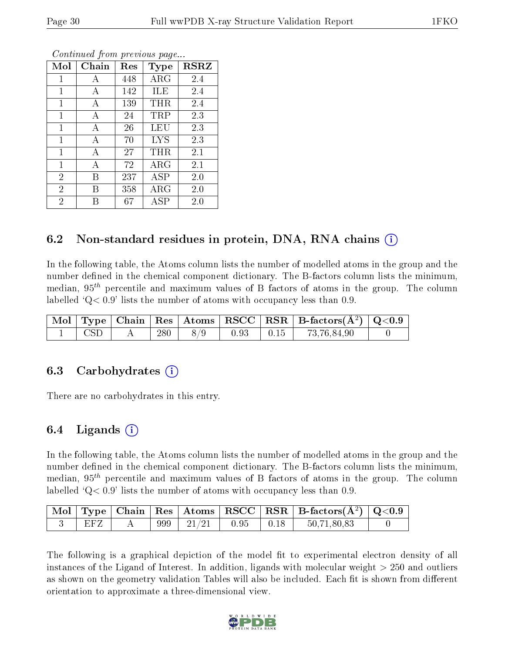| Mol            | Chain | Res | Type        | <b>RSRZ</b> |
|----------------|-------|-----|-------------|-------------|
| 1              | Α     | 448 | ARG         | 2.4         |
| 1              | Α     | 142 | ILE         | 2.4         |
| 1              | А     | 139 | THR         | 2.4         |
| $\mathbf{1}$   | А     | 24  | TRP         | 2.3         |
| 1              | А     | 26  | LEU         | 2.3         |
| $\mathbf{1}$   | А     | 70  | <b>LYS</b>  | 2.3         |
| $\mathbf{1}$   | А     | 27  | THR         | 2.1         |
| $\mathbf{1}$   | А     | 72  | $\rm{ARG}$  | 2.1         |
| $\overline{2}$ | В     | 237 | $\rm{ASP}$  | 2.0         |
| $\overline{2}$ | В     | 358 | $\rm{ARG}$  | 2.0         |
| $\overline{2}$ |       | 67  | ${\rm ASP}$ | 2.0         |

### 6.2 Non-standard residues in protein, DNA, RNA chains (i)

In the following table, the Atoms column lists the number of modelled atoms in the group and the number defined in the chemical component dictionary. The B-factors column lists the minimum, median,  $95<sup>th</sup>$  percentile and maximum values of B factors of atoms in the group. The column labelled  $Q< 0.9$  lists the number of atoms with occupancy less than 0.9.

|            |     |     |      |               | $\mid$ Mol $\mid$ Type $\mid$ Chain $\mid$ Res $\mid$ Atoms $\mid$ RSCC $\mid$ RSR $\mid$ B-factors( $A^2$ ) $\mid$ Q<0.9 |  |
|------------|-----|-----|------|---------------|---------------------------------------------------------------------------------------------------------------------------|--|
| <b>CSD</b> | 280 | 8/9 | 0.93 | $\sqrt{0.15}$ | 73,76,84,90                                                                                                               |  |

#### 6.3 Carbohydrates (i)

There are no carbohydrates in this entry.

### $6.4$  Ligands  $(i)$

In the following table, the Atoms column lists the number of modelled atoms in the group and the number defined in the chemical component dictionary. The B-factors column lists the minimum, median,  $95<sup>th</sup>$  percentile and maximum values of B factors of atoms in the group. The column labelled  $Q< 0.9$  lists the number of atoms with occupancy less than 0.9.

|     |     |                                     |              |                                                      | $\mid$ Mol $\mid$ Type $\mid$ Chain $\mid$ Res $\mid$ Atoms $\mid$ RSCC $\mid$ RSR $\mid$ B-factors(Å <sup>2</sup> ) $\mid$ Q<0.9 |  |
|-----|-----|-------------------------------------|--------------|------------------------------------------------------|-----------------------------------------------------------------------------------------------------------------------------------|--|
| EFZ | 999 | $\degree$ $\degree$ 21/21 $\degree$ | $\vert$ 0.95 | $\begin{array}{c} \begin{array}{c} \end{array}$ 0.18 | 50.71,80,83                                                                                                                       |  |

The following is a graphical depiction of the model fit to experimental electron density of all instances of the Ligand of Interest. In addition, ligands with molecular weight  $> 250$  and outliers as shown on the geometry validation Tables will also be included. Each fit is shown from different orientation to approximate a three-dimensional view.